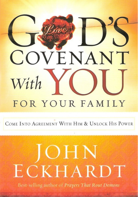# VENANT With FOR YOUR FAMILY

COME INTO AGREEMENT WITH HIM & UNLOCK HIS POWER

# OHN ECKHARDT Best-selling author of Prayers That Rout Demons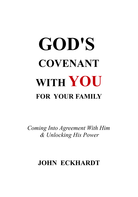# **GOD'S COVENANT WITH YOU FOR YOUR FAMILY**

*Coming Into Agreement With Him & Unlocking His Power*

### **JOHN ECKHARDT**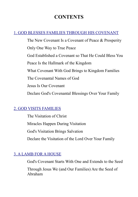#### **CONTENTS**

#### [1. GOD BLESSES FAMILIES THROUGH HIS COVENANT](#page-5-0)

The New Covenant Is a Covenant of Peace & Prosperity Only One Way to True Peace God Established a Covenant so That He Could Bless You Peace Is the Hallmark of the Kingdom What Covenant With God Brings to Kingdom Families The Covenantal Names of God Jesus Is Our Covenant Declare God's Covenantal Blessings Over Your Family

#### [2. GOD VISITS FAMILIES](#page-22-0)

The Visitation of Christ Miracles Happen During Visitation God's Visitation Brings Salvation Declare the Visitation of the Lord Over Your Family

#### [3. A LAMB FOR A HOUSE](#page-33-0)

God's Covenant Starts With One and Extends to the Seed

Through Jesus We (and Our Families) Are the Seed of Abraham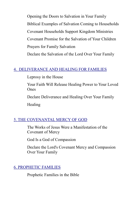Opening the Doors to Salvation in Your Family Biblical Examples of Salvation Coming to Households Covenant Households Support Kingdom Ministries Covenant Promise for the Salvation of Your Children Prayers for Family Salvation Declare the Salvation of the Lord Over Your Family

#### [4. DELIVERANCE AND HEALING FOR FAMILIES](#page-55-0)

Leprosy in the House

Your Faith Will Release Healing Power to Your Loved **Ones** 

Declare Deliverance and Healing Over Your Family

**Healing** 

#### [5. THE COVENANTAL MERCY OF GOD](#page-69-0)

The Works of Jesus Were a Manifestation of the Covenant of Mercy

God Is a God of Compassion

Declare the Lord's Covenant Mercy and Compassion Over Your Family

#### [6. PROPHETIC FAMILIES](#page-82-0)

Prophetic Families in the Bible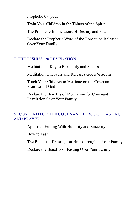Prophetic Outpour

Train Your Children in the Things of the Spirit

The Prophetic Implications of Destiny and Fate

Declare the Prophetic Word of the Lord to be Released Over Your Family

#### [7. THE JOSHUA 1:8 REVELATION](#page-93-0)

Meditation—Key to Prosperity and Success

Meditation Uncovers and Releases God's Wisdom

Teach Your Children to Meditate on the Covenant Promises of God

Declare the Benefits of Meditation for Covenant Revelation Over Your Family

#### [8. CONTEND FOR THE COVENANT THROUGH FASTING](#page-105-0)  [AND PRAYER](#page-105-0)

Approach Fasting With Humility and Sincerity

How to Fast

The Benefits of Fasting for Breakthrough in Your Family

Declare the Benefits of Fasting Over Your Family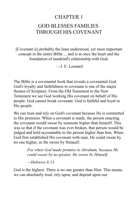#### <span id="page-5-0"></span>CHAPTER 1

#### GOD BLESSES FAMILIES THROUGH HIS COVENANT

[Covenant is] probably the least understood, yet most important concept in the entire Bible ... and is at once the heart and the foundation of mankind's relationship with God.

—J. E. Leonard

The Bible is a covenantal book that reveals a covenantal God. God's loyalty and faithfulness to covenant is one of the major themes of Scripture. From the Old Testament to the New Testament we see God working His covenant on behalf of His people. God cannot break covenant. God is faithful and loyal to His people.

We can trust and rely on God's covenant because He is committed to His promises. When a covenant is made, the person enacting the covenant would swear by someone higher than himself. This was so that if the covenant was ever broken, that person would be judged and held accountable to the person higher than him. When God first established His covenant with man, He could swear by no one higher, so He swore by Himself.

> *For when God made promise to Abraham, because He could swear by no greater, He swore by Himself.*

*—Hebrews 6:13*

God is the highest. There is no one greater than Him. This means we can absolutely trust, rely upon, and depend upon our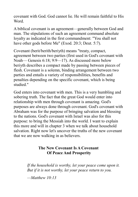covenant with God. God cannot lie. He will remain faithful to His Word.

A biblical covenant is an agreement—generally between God and man. The stipulations of such an agreement command absolute loyalty as indicated in the first commandment: "You shall not have other gods before Me" (Exod. 20:3; Deut. 5:7).

Covenant (berit/berith/beriyth) means "treaty, compact, agreement between two parties (first used in God's covenant with Noah— Genesis 6:18; 9:9—17). As discussed more below beriyth describes a compact made by passing between pieces of flesh. Covenant is a solemn, binding arrangement between two parties and entails a variety of responsibilities, benefits and penalties depending on the specific covenant, which is being studied."

God enters into covenant with men. This is a very humbling and sobering truth. The fact that the great God would enter into relationship with men through covenant is amazing. God's purposes are always done through covenant. God's covenant with Abraham was for the purpose of bringing salvation and blessing to the nations. God's covenant with Israel was also for this purpose: to bring the Messiah into the world. I want to explain this more and will in chapter 3 when we talk about household salvation. Right now let's uncover the truths of the new covenant that we are now walking in as believers.

#### **The New Covenant Is A Covenant Of Peace And Prosperity**

*If the household is worthy, let your peace come upon it. But if it is not worthy, let your peace return to you.*

*—Matthew 10:13*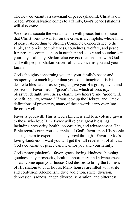The new covenant is a covenant of peace (shalom). Christ is our peace. When salvation comes to a family, God's peace (shalom) will also come.

We often associate the word shalom with peace, but the peace that Christ went to war for on the cross is a complete, whole kind of peace. According to Strong's Complete Concordance to the Bible, shalom is "completeness, soundness, welfare, and peace." It represents completeness in number and safety and soundness in your physical body. Shalom also covers relationships with God and with people. Shalom covers all that concerns you and your family.

God's thoughts concerning you and your family's peace and prosperity are much higher than you could imagine. It is His desire to bless and prosper you, to give you His grace, favor, and protection. Favor means "grace"; "that which affords joy, pleasure, delight, sweetness, charm, loveliness"; and "good will, benefit, bounty, reward." If you look up the Hebrew and Greek definitions of prosperity, many of these words carry over into favor as well.

Favor is goodwill. This is God's kindness and benevolence given to those who love Him. Favor will release great blessings, including prosperity, health, opportunity, and advancement. The Bible records numerous examples of God's favor upon His people causing them to experience many breakthroughs. Favor is God's loving-kindness. I want you will get the full revelation of all that God's covenant of peace can mean for you and your family.

God's peace (shalom)—favor, grace, loving-kindness, blessing, goodness, joy, prosperity, health, opportunity, and advancement — can come upon your house. God desires to bring the fullness of His shalom to your house. Many houses are filled with strife and confusion. Alcoholism, drug addiction, strife, division, depression, sadness, anger, divorce, separation, and bitterness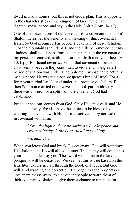dwell in many homes, but this is not God's plan. This is opposite to the characteristics of the kingdom of God, which are righteousness, peace, and joy in the Holy Spirit (Rom. 14:17).

One of the descriptions of our covenant is "a covenant of shalom" Shalom describes the benefits and blessing of this covenant. In Isaiah 54 God promised His people a covenant of peace (shalom): "For the mountains shall depart, and the hills be removed; but my kindness shall not depart from thee, neither shall the covenant of my peace be removed, saith the Lord that hath mercy on thee" (v. 10, Kjv). But Israel never walked in that covenant of peace consistently because they continued to violate it. The greatest period of shalom was under King Solomon, whose name actually means peace. He was the most prosperous king of Israel. For a forty-year period Israel lived under that promise of shalom. But then Solomon married other wives and took part in idolatry, and there was a breech or a split from the covenant God had established.

Peace, or shalom, comes from God. Only He can give it, and He can take it away. We also have the choice to be blessed by walking in covenant with Him or to deactivate it by not walking in covenant with Him.

> *I form the light and create darkness, I make peace and create calamity; I, the Lord, do all these things.*

*—Isaiah 45:7*

When you leave God and break His covenant, God will withdraw His shalom, and He will allow disaster. The enemy will come into your land and destroy you. The sword will come in the land, and prosperity will be destroyed. We see that this is true based on the Israelites' experience all through the Book of Judges. But God will send warning and correction. He began to send prophets or "covenant messengers" to a covenant people to warn them of their covenant violation to give them a chance to repent before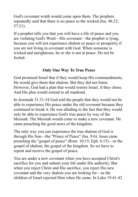God's covenant wrath would come upon them. The prophets repeatedly said that there is no peace to the wicked (Isa. 48:22; 57:21).

If a prophet tells you that you will have a life of peace and you are violating God's Word—His covenant—the prophet is lying, because you will not experience shalom or peace or prosperity if you are not living in covenant with God. When someone is wicked and unrighteous, he or she is not at peace. Do not be fooled.

#### **Only One Way To True Peace**

God promised Israel that if they would keep His commandments, He would give them that shalom. But they did not listen. However, God had a plan that would restore Israel, if they chose. And His plan would extend to all mankind.

In Jeremiah 31:31-34 God told the people that they would not be able to experience His peace under the old covenant because they continued to break it. He was alluding to the fact that they would only be able to experience God's true peace by way of the Messiah. The Messiah would come to make a new covenant. He came preaching the good news of the kingdom.

The only way you can experience the true shalom of God is through His Son—the "Prince of Peace" (Isa. 9:6). Jesus came preaching the "gospel of peace" (Rom. 10:15; Eph. 6:15)—or the gospel of shalom, the gospel of the kingdom. So we have to repent and receive the gospel of peace.

You are under a new covenant when you have accepted Christ's sacrifice for you and submit your life under His authority. But when you reject Christ and His sacrifice, you reject His new covenant and the very shalom you are looking for—as the children of Israel rejected Him when He came. In Luke 19:41-42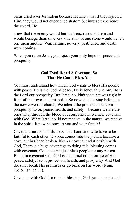Jesus cried over Jerusalem because He knew that if they rejected Him, they would not experience shalom but instead experience the sword. He

knew that the enemy would build a trench around them and would besiege them on every side and not one stone would be left one upon another. War, famine, poverty, pestilence, and death were coming.

When you reject Jesus, you reject your only hope for peace and prosperity.

#### **God Established A Covenant So That He Could Bless You**

You must understand how much God wants to bless His people with peace. He is the God of peace, He is Jehovah Shalom, He is the Lord our prosperity. But Israel couldn't see what was right in front of their eyes and missed it, So now this blessing belongs to the new covenant church, We inherit the promise of shalom prosperity, favor, peace, health, and safety—because we are the ones who, through the blood of Jesus, enter into a new covenant with God. What Israel could not receive in the natural we receive in the spirit. It now belongs to you and your family!

Covenant means "faithfulness." Husband and wife have to be faithful to each other. Divorce comes into the picture because a covenant has been broken. Keep a covenant relationship with God, There is a huge advantage to doing this; blessing comes with covenant, God does not just bless people for any reason. Being in covenant with God is a contract or a promise of His peace, safety, favor, protection, health, and prosperity. And God does not break His promises or go back on His word (Num, 23:19; Isa. 55:11),

Covenant with God is a mutual blessing, God gets a people, and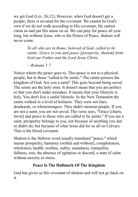we get God (Lev, 26;12), However, when God doesn't get a people, there is no need for the covenant. We cannot be God's own if we do not walk according to His covenant, He cannot claim us and put His name on us. We can pray for peace all year long, but without Jesus, who is the Prince of Peace, shalom will never come.

> *To all who are in Rome, beloved of God, called to be saints: Grace to you and peace [prosperity, shalom] from God our Father and the Lord Jesus Christ.*

*—Romans 1:7*

Notice whom the peace goes to. This peace is not to a physical people, but to those "called to be saints." The saints possess the kingdom of God. Are you a saint? This goes beyond being saved. The saints are the holy ones. It doesn't mean that you are perfect or that you don't make mistakes. It means that your lifestyle is holy. You don't live a sinful lifestyle. In the New Testament the saints walked in a level of holiness. They were not liars, drunkards, or whoremongers. They didn't mistreat people. If you are not a saint, you are not saved. The verse says, "Grace [charts, favor] and peace to those who are called to be saints." If you are a saint, prosperity belongs to you, not because of anything you did or didn't do, but because of what Jesus did for us all on Calvary. That is the blood covenant.

Shalom is the Hebrew word usually translated "peace," which means prosperity, harmony (within and without), completeness, wholeness, health, welfare, safety, soundness, tranquility, fullness, rest, the absence of agitation or discord, a state of calm without anxiety or stress.

#### **Peace Is The Hallmark Of The Kingdom**

God has given us His covenant of shalom and will not go back on it.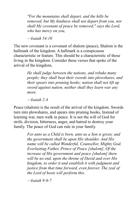*"For the mountains shall depart, and the hills be removed, but My kindness shall not depart from you, nor shall My covenant of peace be removed," says the Lord, who has mercy on you,*

*—Isaiah 54:10*

The new covenant is a covenant of shalom (peace), Shalom is the hallmark of the kingdom. A hallmark is a conspicuous characteristic or feature. This should be a characteristic of those living in the kingdom. Consider these verses that spoke of the arrival of the kingdom,

> *He shall judge between the nations, and rebuke many people; they shall beat their swords into plowshares, and their spears into pruning hooks; nation shall not lift up sword against nation, neither shall they learn war any more.*

*—Isaiah 2:4*

Peace (shalom) is the result of the arrival of the kingdom. Swords turn into plowshares, and spears into pruning hooks, Instead of learning war, men walk in peace. It is not the will of God for strife, division, bitterness, anger, and hatred to destroy your family. The peace of God can rule in your family.

> *For unto us a Child is born, unto us a Son is given; and the government shall be upon His shoulder. And His name will be called Wonderful, Counsellor, Mighty God, Everlasting Father, Prince of Peace [shalom], Of the increase of His government and peace [shalom] there will be no end, upon the throne of David and over His kingdom, to order it and establish it with judgment and justice from that time forward, even forever. The zeal of the Lord of hosts will perform this.*

*—Isaiah 9:6-7*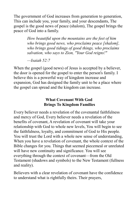The government of God increases from generation to generation, This can include you, your family, and your descendants, The gospel is the good news of peace (shalom), The gospel brings the peace of God into a family.

> *How beautiful upon the mountains are the feet of him who brings good news, who proclaims peace [shalom], who brings good tidings of good things, who proclaims salvation, who says to Zion, "Your God reigns!"*

*—Isaiah 52:7*

When the gospel (good news) of Jesus is accepted by a believer, the door is opened for the gospel to enter the person's family. I believe this is a powerful way of kingdom increase and expansion, God has designed the family unit to be a place where the gospel can spread and the kingdom can increase.

#### **What Covenant With God Brings To Kingdom Families**

Every believer needs a revelation of the covenantal faithfulness and mercy of God, Every believer needs a revelation of the benefits of covenant, A revelation of covenant will take your relationship with God to whole new levels, You will begin to see the faithfulness, loyalty, and commitment of God to His people. You will trust the Lord with a whole new sense of understanding, When you have a revelation of covenant, the whole context of the Bible changes for you. Things that seemed piecemeal or unrelated will have new continuity and significance. You will see everything through the context of covenant—from the Old Testament (shadows and symbols) to the New Testament (fullness and reality).

Believers with a clear revelation of covenant have the confidence to understand what is rightfully theirs. Their prayers,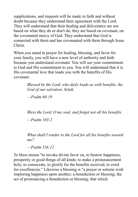supplications, and requests will be made in faith and without doubt because they understand their agreement with the Lord. They will understand that their healing and deliverance are not based on what they do or don't do; they are based on covenant, on the covenantal mercy of God. They understand that God is connected with them and has covenanted with them through Jesus Christ.

When you stand in prayer for healing, blessing, and favor for your family, you will have a new level of authority and faith because you understand covenant. You will see your commitment to God and His commitment to you. You will understand that it is His covenantal love that loads you with the benefits of His covenant.

> *Blessed be the Lord, who daily loads us with benefits, the God of our salvation. Selah.*

*—Psalm 68:19*

*Bless the Lord, O my soul, and forget not all his benefits.*

*—Psalm 103:2*

*What shall I render to the Lord for all his benefits toward me?*

*—Psalm 116:12*

To bless means "to invoke divine favor on, to bestow happiness, prosperity or good things of all kinds; to make a pronouncement holy; to consecrate, to glorify for the benefits received, to extol for excellencies." Likewise a blessing is "a prayer or solemn wish imploring happiness upon another; a benediction or blessing; the act of pronouncing a benediction or blessing; that which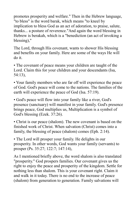promotes prosperity and welfare." Then in the Hebrew language, "to bless" is the word barak, which means "to kneel by implication to bless God as an act of adoration, to praise, salute, thanks... a posture of reverence."And again the word blessing in Hebrew is berakah, which is a "benediction (an act of invoking a blessing),"

The Lord, through His covenant, wants to shower His blessing and benefits on your family. Here are some of the ways He will do it.

• The covenant of peace means your children are taught of the Lord. Claim this for your children and your descendants (Isa, 54:13),

• Your family members who are far off will experience the peace of God. God's peace will come to the nations. The families of the earth will experience the peace of God (Isa. 57:19).

• God's peace will flow into your family like a river, God's presence (sanctuary) will manifest in your family. God's presence brings peace, God multiplies us, Multiplication is a symbol of God's blessing (Ezek. 37:26).

• Christ is our peace (shalom). The new covenant is based on the finished work of Christ. When salvation (Christ) comes into a family, the blessing of peace (shalom) comes (Eph. 2:14).

• The Lord will prosper your family. He delights in our prosperity. In other words, God wants your family (servants) to prosper (Ps. 35:27; 122:7; 147:14),

As I mentioned briefly above, the word shalom is also translated "prosperity." God prospers families. Our covenant gives us the right to enjoy the peace and prosperity of the kingdom. Settle for nothing less than shalom. This is your covenant right. Claim it and walk in it today. There is no end to the increase of peace (shalom) from generation to generation. Family salvations will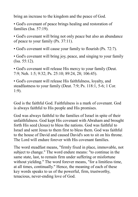bring an increase to the kingdom and the peace of God.

• God's covenant of peace brings healing and restoration of families (Isa. 57:19).

• God's covenant will bring not only peace but also an abundance of peace to your family (Ps. 37:11).

• God's covenant will cause your family to flourish (Ps. 72:7).

• God's covenant will bring joy, peace, and singing to your family (Isa. 55:12).

• God's covenant will release His mercy to your family (Deut. 7:9; Neh. 1:5; 9:32; Ps. 25:10; 89:24, 28; 106:45).

• God's covenant will release His faithfulness, loyalty, and steadfastness to your family (Deut. 7:9; Ps. 118:1, 5-6; 1 Cor. 1:9).

God is the faithful God. Faithfulness is a mark of covenant. God is always faithful to His people and His promises.

God was always faithful to the families of Israel in spite of their unfaithfulness. God kept His covenant with Abraham and brought forth His seed (Jesus) to bless the nations. God was faithful to Israel and sent Jesus to them first to bless them. God was faithful to the house of David and caused David's son to sit on his throne. The Lord will endure forever with His covenant families.

The word steadfast means, "firmly fixed in place, immovable, not subject to change." The word endure means: "to continue in the same state, last, to remain firm under suffering or misfortune without yielding." The word forever means, "for a limitless time, at all times, continually." Hence, the meaning of each of these key words speaks to us of the powerful, firm, trustworthy, tenacious, never-ending love of God.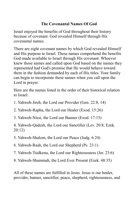#### **The Covenantal Names Of God**

Israel enjoyed the benefits of God throughout their history because of covenant. God revealed Himself through His covenantal names.

There are eight covenant names by which God revealed Himself and His purpose to Israel. These names comprehend the benefits God made available to Israel through His covenant. Whoever knew those names and called upon God based on the names they represented had God's promise that He would behave toward them in the fashion demanded by each of His titles. Your family can begin to incorporate these names when you call upon the Lord in prayer.

Here are the names listed in the order of their historical relation to Israel:

- 1. Yahweh-Jireh, the Lord our Provider (Gen. 22:8, 14)
- 2. Yahweh-Rapha, the Lord our Healer (Exod. 15:26)
- 3. Yahweh-Nissi, the Lord our Banner (Exod. 17:15)

4. Yahweh-Qadesh, the Lord our Sanctifier (Lev. 20:8; Ezek. 20:12)

- 5. Yahweh-Shalom, the Lord our Peace (Judg. 6:24)
- 6. Yahweh-Raah, the Lord our Shepherd (Ps. 23:1)
- 7. Yahweh-Tsidkenu, the Lord our Righteousness (Jer. 23:6)
- 8. Yahweh-Shammah, the Lord Ever Present (Ezek. 48:35)

All of these names are fulfilled in Jesus. Jesus is our healer, provider, banner, sanctifier, peace, shepherd, righteousness, and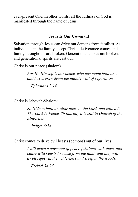ever-present One. In other words, all the fullness of God is manifested through the name of Jesus.

#### **Jesus Is Our Covenant**

Salvation through Jesus can drive out demons from families. As individuals in the family accept Christ, deliverance comes and family strongholds are broken. Generational curses are broken, and generational spirits are cast out.

Christ is our peace (shalom).

*For He Himself is our peace, who has made both one, and has broken down the middle wall of separation.*

*—Ephesians 2:14*

Christ is Jehovah-Shalom:

*So Gideon built an altar there to the Lord, and called it The-Lord-Is-Peace. To this day it is still in Ophrah of the Abiezrites.*

*—Judges 6:24*

Christ comes to drive evil beasts (demons) out of our lives.

*I will make a covenant of peace [shalom] with them, and cause wild beasts to cease from the land; and they will dwell safely in the wilderness and sleep in the woods.*

*—Ezekiel 34:25*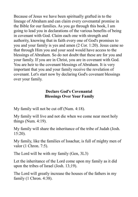Because of Jesus we have been spiritually grafted in to the lineage of Abraham and can claim every covenantal promise in the Bible for our families. As you go through this book, I am going to lead you in declarations of the various benefits of being in covenant with God. Claim each one with strength and authority, knowing that in faith every one of God's promises to you and your family is yes and amen (2 Cor. 1:20). Jesus came so that through Him you and your seed would have access to the blessings of Abraham. So do not doubt that these are for you and your family. If you are in Christ, you are in covenant with God. You are heir to the covenant blessings of Abraham. It is very important that you and your family receive the revelation of covenant. Let's start now by declaring God's covenant blessings over your family.

#### **Declare God's Covenantal Blessings Over Your Family**

My family will not be cut off (Num. 4:18).

My family will live and not die when we come near most holy things (Num. 4:19).

My family will share the inheritance of the tribe of Judah (Josh. 15:20).

My family, like the families of Issachar, is full of mighty men of valor (1 Chron. 7:5).

The Lord will be with my family (Gen, 3L3)

Let the inheritance of the Lord come upon my family as it did upon the tribes of Israel (Josh. 13;19).

The Lord will greatly increase the houses of the fathers in my family (1 Chron. 4:38).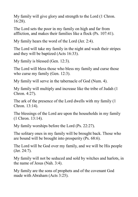My family will give glory and strength to the Lord (1 Chron. 16:28).

The Lord sets the poor in my family on high and far from affliction, and makes their families like a flock (Ps. 107:41).

My family hears the word of the Lord (Jer. 2:4).

The Lord will take my family in the night and wash their stripes and they will be baptized (Acts 16:33).

My family is blessed (Gen. 12:3).

The Lord will bless those who bless my family and curse those who curse my family (Gen. 12:3).

My family will serve in the tabernacle of God (Num. 4).

My family will multiply and increase like the tribe of Judah (1 Chron. 4:27).

The ark of the presence of the Lord dwells with my family (1 Chron. 13:14).

The blessings of the Lord are upon the households in my family (1 Chron. 13:14).

My family worships before the Lord (Ps. 22:27).

The solitary ones in my family will be brought back. Those who are bound will be brought into prosperity (Ps. 68:6).

The Lord will be God over my family, and we will be His people (Jer. 24:7).

My family will not be seduced and sold by witches and harlots, in the name of Jesus (Nah. 3:4).

My family are the sons of prophets and of the covenant God made with Abraham (Acts 3:25).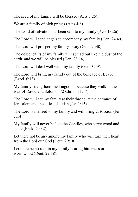The seed of my family will be blessed (Acts 3:25).

We are a family of high priests (Acts 4:6).

The word of salvation has been sent to my family (Acts 13:26).

The Lord will send angels to accompany my family (Gen. 24:40).

The Lord will prosper my family's way (Gen. 24:40).

The descendants of my family will spread out like the dust of the earth, and we will be blessed (Gen. 28:14).

The Lord will deal well with my family (Gen. 32:9).

The Lord will bring my family out of the bondage of Egypt (Exod. 6:13).

My family strengthens the kingdom, because they walk in the way of David and Solomon (2 Chron. 11:17).

The Lord will set my family at their throne, at the entrance of Jerusalem and the cities of Judah (Jer. 1:15).

The Lord is married to my family and will bring us to Zion (Jer. 3:14).

My family will never be like the Gentiles, who serve wood and stone (Ezek. 20:32).

Let there not be any among my family who will turn their heart from the Lord our God (Deut. 29:18).

Let there be no root in my family bearing bitterness or wormwood (Deut. 29:18).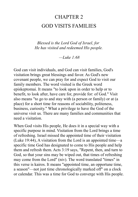## <span id="page-22-0"></span>CHAPTER<sub>2</sub> GOD VISITS FAMILIES

*Blessed is the Lord God of Israel, for He has visited and redeemed His people.*

 *—Luke 1:68*

God can visit individuals, and God can visit families, God's visitation brings great blessings and favor. As God's new covenant people, we can pray for and expect God to visit our family members. The word visited is the Greek word episkeptomai. It means "to look upon in order to help or to benefit, to look after, have care for, provide for: of God." Visit also means "to go to and stay with (a person or family) or at (a place) for a short time for reasons of sociability, politeness, business, curiosity." What a privilege to have the God of the universe visit us. There are many families and communities that need a visitation.

When God visits His people, He does it in a special way with a specific purpose in mind. Visitation from the Lord brings a time of refreshing. Israel missed the appointed time of their visitation (Luke 19:44), A visitation from the Lord is an appointed time—a specific time God has designated to come to His people and help them and refresh them. Acts 3:19 says, "Repent, then, and turn to God, so that your sins may be wiped out, that times of refreshing may come from the Lord" (niv). The word translated "times" in this verse is kairos. It means "appointed time, an opportune time, a season"—not just time chronologically marked off" on a clock or calendar. This was a time for God to converge with His people.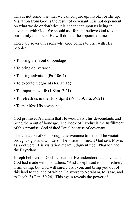This is not some visit that we can conjure up, invoke, or stir up. Visitation from God is the result of covenant. It is not dependent on what we do or don't do; it is dependent upon us being in covenant with God. We should ask for and believe God to visit our family members. He will do it at the appointed time.

There are several reasons why God comes to visit with His people:

- To bring them out of bondage
- To bring deliverance
- To bring salvation (Ps. 106:4)
- To execute judgment (Jer. 15:15)
- To impart new life (1 Sam. 2:21)
- To refresh us in the Holy Spirit (Ps. 65:9; Isa. 59:21)
- To manifest His covenant

God promised Abraham that He would visit his descendants and bring them out of bondage. The Book of Exodus is the fulfillment of this promise. God visited Israel because of covenant.

The visitation of God brought deliverance to Israel. The visitation brought signs and wonders. The visitation meant God sent Moses as a deliverer. His visitation meant judgment upon Pharaoh and the Egyptians.

Joseph believed in God's visitation. He understood the covenant God had made with his fathers: "And Joseph said to his brethren, T am dying; but God will surely visit you, and bring you out of this land to the land of which He swore to Abraham, to Isaac, and to Jacob.'" (Gen. 50:24). This again reveals the power of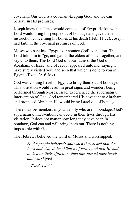covenant. Our God is a covenant-keeping God, and we can believe in His promises.

Joseph knew that Israel would come out of Egypt. He knew the Lord would bring his people out of bondage and gave them instruction concerning his bones at his death (Heb. 11:22), Joseph had faith in the covenant promises of God.

Moses was sent into Egypt to announce God's visitation. The Lord told him to "go, and gather the elders of Israel together, and say unto them, The Lord God of your fathers, the God of Abraham, of Isaac, and of Jacob, appeared unto me, saying, I have surely visited you, and seen that which is done to you in Egypt" (Exod. 3:16, kjv).

God was visiting Israel in Egypt to bring them out of bondage. This visitation would result in great signs and wonders being performed through Moses. Israel experienced the supernatural intervention of God. God remembered His covenant to Abraham and promised Abraham He would bring Israel out of bondage.

There may be members in your family who are in bondage. God's supernatural intervention can occur in their lives through His visitation. It does not matter how long they have been In bondage, God can and will bring them out. There Is nothing impossible with God.

The Hebrews believed the word of Moses and worshipped.

*So the people believed; and when they heard that the Lord had visited the children of Israel and that He had looked on their affliction, then they bowed their heads and worshiped.*

*—Exodus 4:31*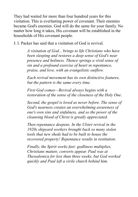They had waited for more than four hundred years for this visitation. This is everlasting power of covenant. Their enemies became God's enemies. God will do the same for your family. No matter how long it takes, His covenant will be established in the households of His covenant people.

J. I. Packer has said that a visitation of God is revival.

*A visitation of God... brings to life Christians who have been sleeping and restores a deep sense of God's near presence and holiness. Thence springs a vivid sense of sin and a profound exercise of heart in repentance, praise, and love, with an evangelistic outflow.*

*Each revival movement has its own distinctive features, but the pattern is the same every time.*

*First God comes—Revival always begins with a restoration of the sense of the closeness of the Holy One.*

*Second, the gospel is loved as never before. The sense of God's nearness creates an overwhelming awareness of one's own sins and sinfulness, and so the power of the cleansing blood of Christ is greatly appreciated.*

*Then repentance deepens. In the Ulster revival in the 1920s shipyard workers brought back so many stolen tools that new sheds had to be built to house the recovered property! Repentance results in restitution.*

*Finally, the Spirit works fast: godliness multiplies, Christians mature, converts appear. Paul was at Thessalonica for less than three weeks, but God worked quickly and Paul left a virile church behind him.*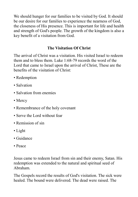We should hunger for our families to be visited by God. It should be our desire for our families to experience the nearness of God, the closeness of His presence. This is important for life and health and strength of God's people. The growth of the kingdom is also a key benefit of a visitation from God.

#### **The Visitation Of Christ**

The arrival of Christ was a visitation. His visited Israel to redeem them and to bless them. Luke 1:68-79 records the word of the Lord that came to Israel upon the arrival of Christ, These are the benefits of the visitation of Christ:

- Redemption
- Salvation
- Salvation from enemies
- Mercy
- Remembrance of the holy covenant
- Serve the Lord without fear
- Remission of sin
- Light
- Guidance
- Peace

Jesus came to redeem Israel from sin and their enemy, Satan. His redemption was extended to the natural and spiritual seed of Abraham.

The Gospels record the results of God's visitation. The sick were healed. The bound were delivered. The dead were raised. The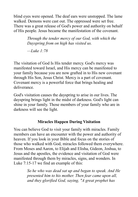blind eyes were opened. The deaf ears were unstopped. The lame walked. Demons were cast out. The oppressed were set free. There was a great release of God's power and authority on behalf of His people. Jesus became the manifestation of the covenant.

> *Through the tender mercy of our God, with which the Dayspring from on high has visited us.*

*—Luke 1:78*

The visitation of God Is His tender mercy. God's mercy was manifested toward Israel, and His mercy can be manifested to your family because you are now grafted in to His new covenant through His Son, Jesus Christ. Mercy is a part of covenant. Covenant mercy is a powerful force that brings healing and deliverance.

God's visitation causes the dayspring to arise in our lives. The dayspring brings light in the midst of darkness. God's light can shine in your family. Those members of your family who are in darkness will see the light.

#### **Miracles Happen During Visitation**

You can believe God to visit your family with miracles. Family members can have an encounter with the power and authority of heaven. If you look in your Bible and focus on the stories of those who walked with God, miracles followed them everywhere. From Moses and Aaron, to Elijah and Elisha, Gideon, Joshua, to Jesus and the apostles, the evidence and visitation of God were manifested through them by miracles, signs, and wonders. In Luke 7:15-17 we find an example of this:

> *So he who was dead sat up and began to speak. And He presented him to his mother. Then fear came upon all, and they glorified God, saying, "A great prophet has*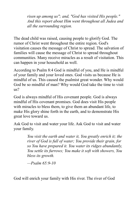*risen up among us"; and, "God has visited His people." And this report about Him went throughout all Judea and all the surrounding region.*

The dead child was raised, causing people to glorify God. The rumor of Christ went throughout the entire region. God's visitation causes the message of Christ to spread. The salvation of families will cause the message of Christ to spread throughout communities. Many receive miracles as a result of visitation. This can happen in your household as well.

According to Psalm 8:4 God is mindful of you, and He is mindful of your family and your loved ones. God visits us because He is mindful of us. This caused the psalmist great wonder. Why would God be so mindful of man? Why would God take the time to visit  $\overline{\text{us}}$ ?

God is always mindful of His covenant people. God is always mindful of His covenant promises. God does visit His people with miracles to bless them, to give them an abundant life, to make His glory shine forth in the earth, and to demonstrate His great love toward us.

Ask God to visit and water your life. Ask God to visit and water your family.

> *You visit the earth and water it, You greatly enrich it; the river of God is full of water; You provide their grain, for so You have prepared it. You water its ridges abundantly, You settle its furrows; You make it soft with showers, You bless its growth.*

*—Psalm 65:9-10*

God will enrich your family with His river. The river of God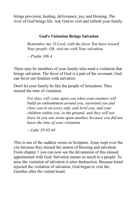brings provision, healing, deliverance, joy, and blessing. The river of God brings life. Ask God to visit and refresh your family.

#### **God's Visitation Brings Salvation**

*Remember me, O Lord, with the favor You have toward Your people. Oh, visit me with Your salvation.*

*—Psalm 106:4*

There may be members of your family who need a visitation that brings salvation. The favor of God is a part of the covenant. God can favor our families with salvation.

Don't let your family be like the people of Jerusalem. They missed the time of visitation.

> *For days will come upon you when your enemies will build an embankment around you, surround you and close you in on every side, and level you, and your children within you, to the ground; and they will not leave in you one stone upon another, because you did not know the time of your visitation.*

*—Luke 19:43-44*

This is one of the saddest verses in Scripture. Jesus wept over the city because they missed the season of blessing and salvation. From chapter 1 you can now see the devastation of this missed appointment with God. Salvation means so much to a people. To miss the visitation of salvation is utter destruction. Because Israel rejected the visitation of salvation, God began to visit the Gentiles after He visited Israel.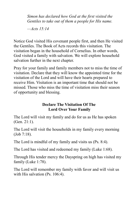*Simon has declared how God at the first visited the Gentiles to take out of them a people for His name.*

*—Acts 15:14*

Notice God visited His covenant people first, and then He visited the Gentiles. The Book of Acts records this visitation. The visitation began in the household of Cornelius. In other words, God visited a family with salvation. We will explore household salvation further in the next chapter.

Pray for your family and family members not to miss the time of visitation. Declare that they will know the appointed time for the visitation of the Lord and will have their hearts prepared to receive Him. Visitation is an important time that should not be missed. Those who miss the time of visitation miss their season of opportunity and blessing.

#### **Declare The Visitation Of The Lord Over Your Family**

The Lord will visit my family and do for us as He has spoken (Gen. 21:1).

The Lord will visit the households in my family every morning (Job 7:18).

The Lord is mindful of my family and visits us (Ps. 8:4).

The Lord has visited and redeemed my family (Luke 1:68).

Through His tender mercy the Dayspring on high has visited my family (Luke 1:78).

The Lord will remember my family with favor and will visit us with His salvation (Ps. 106:4).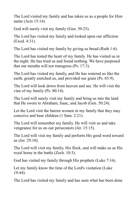The Lord visited my family and has taken us as a people for Him name (Acts 15:14).

God will surely visit my family (Gen. 50:25).

The Lord has visited my family and looked upon our affliction (Exod. 4:31).

The Lord has visited my family by giving us bread (Ruth 1:6).

The Lord has tested the heart of my family. He has visited us in the night. He has tried us and found nothing. We have purposed that our mouths will not transgress (Ps. 17:3).

The Lord has visited my family, and He has watered us like the earth, greatly enriched us, and provided our grain (Ps. 65:9).

The Lord will look down from heaven and see. He will visit the vine of my family (Ps. 80:14).

The Lord will surely visit my family and bring us into the land that He swore to Abraham, Isaac, and Jacob (Gen. 50:24).

Let the Lord visit the barren women in my family that they may conceive and bear children (1 Sam. 2:21).

The Lord will remember my family. He will visit us and take vengeance for us on our persecutors (Jer. 15:15).

The Lord will visit my family and perform His good word toward us (Jer. 29:10).

The Lord will visit my family, His flock, and will make us as His royal horse in the battle (Zech. 10:3).

God has visited my family through His prophets (Luke 7:16).

Let my family know the time of the Lord's visitation (Luke 19:44).

The Lord has visited my family and has seen what has been done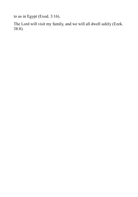to us in Egypt (Exod. 3:16).

The Lord will visit my family, and we will all dwell safely (Ezek. 38:8).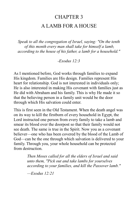## <span id="page-33-0"></span>CHAPTER 3 A LAMB FOR A HOUSE

*Speak to all the congregation of Israel, saying: "On the tenth of this month every man shall take for himself a lamb, according to the house of his father, a lamb for a household."* 

*-Exodus 12:3*

As I mentioned before, God works through families to expand His kingdom. Families are His design. Families represent His heart for relationship. God is not interested in individuals only; He is also interested in making His covenant with families just as He did with Abraham and his family. This is why He made it so that the believing person in a family unit would be the door through which His salvation could enter.

This is first seen in the Old Testament. When the death angel was on its way to kill the firstborn of every household in Egypt, the Lord instructed one person from every family to take a lamb and smear its blood over the doorpost so that their family would not see death. The same is true in the Spirit. Now you as a covenant believer—one who has been covered by the blood of the Lamb of God—can be the one through which salvation is delivered to your family. Through you, your whole household can be protected from destruction.

> *Then Moses called for all the elders of Israel and said unto them, "Pick out and take lambs for yourselves according to your families, and kill the Passover lamb."*

*—Exodus 12:21*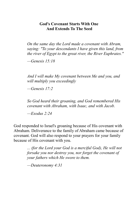#### **God's Covenant Starts With One And Extends To The Seed**

*On the same day the Lord made a covenant with Abram, saying: "To your descendants I have given this land, from the river of Egypt to the great river, the River Euphrates."*

*—Genesis 15:18*

*And I will make My covenant between Me and you, and will multiply you exceedingly*

*—Genesis 17:2*

*So God heard their groaning, and God remembered His covenant with Abraham, with Isaac, and with Jacob.*

*—Exodus 2:24*

God responded to Israel's groaning because of His covenant with Abraham. Deliverance to the family of Abraham came because of covenant. God will also respond to your prayers for your family because of His covenant with you.

> *... (for the Lord your God is a merciful God), He will not forsake you nor destroy you, nor forget the covenant of your fathers which He swore to them.*

*—Deuteronomy 4:31*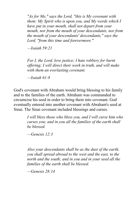*"As for Me," says the Lord, "this is My covenant with them: My Spirit who is upon you, and My words which I have put in your mouth, shall not depart from your mouth, nor from the mouth of your descendants, nor from the mouth of your descendants' descendants," says the Lord, "from this time and forevermore."*

*—Isaiah 59:21*

*For I, the Lord, love justice; I hate robbery for burnt offering; I will direct their work in truth, and will make with them an everlasting covenant.*

*—Isaiah 61:8*

God's covenant with Abraham would bring blessing to his family and to the families of the earth. Abraham was commanded to circumcise his seed in order to bring them into covenant. God eventually entered into another covenant with Abraham's seed at Sinai. The Sinai covenant included blessings and curses.

> *I will bless those who bless you, and I will curse him who curses you; and in you all the families of the earth shall be blessed.*

*—Genesis 12:3*

*Also your descendants shall be as the dust of the earth; you shall spread abroad to the west and the east, to the north and the south; and in you and in your seed all the families of the earth shall be blessed.*

*—Genesis 28:14*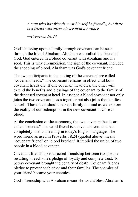*A man who has friends must himself be friendly, but there is a friend who sticks closer than a brother.*

*—Proverbs 18:24*

God's blessing upon a family through covenant can be seen through the life of Abraham. Abraham was called the friend of God. God entered in a blood covenant with Abraham and his seed. This is why circumcision, the sign of the covenant, included the shedding of blood. Abraham was God's covenant friend.

The two participants in the cutting of the covenant are called "covenant heads." The covenant remains in effect until both covenant heads die. If one covenant head dies, the other will extend the benefits and blessings of the covenant to the family of the deceased covenant head. In essence a blood covenant not only joins the two covenant heads together but also joins the families as well. These facts should be kept firmly in mind as we explore the reality of our redemption in the new covenant in Christ's blood.

At the conclusion of the ceremony, the two covenant heads are called "friends." The word friend is a covenant term that has completely lost its meaning in today's English language. The word friend as used in Proverbs 18:24 (quoted above) meant "covenant friend" or "blood brother." It implied the union of two people in a blood covenant.

Covenant friendship is a sacred friendship between two people resulting in each one's pledge of loyalty and complete trust. To betray covenant brought the penalty of death. Covenant friends pledge to protect each other and their families. The enemies of your friend became your enemies.

God's friendship with Abraham meant He would bless Abraham's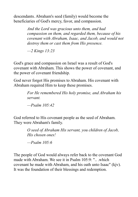descendants. Abraham's seed (family) would become the beneficiaries of God's mercy, favor, and compassion.

> *And the Lord was gracious unto them, and had compassion on them, and regarded them, because of his covenant with Abraham, Isaac, and Jacob, and would not destroy them or cast them from His presence.*

*—2 Kings 13:23*

God's grace and compassion on Israel was a result of God's covenant with Abraham. This shows the power of covenant, and the power of covenant friendship.

God never forgot His promises to Abraham. His covenant with Abraham required Him to keep these promises.

> *For He remembered His holy promise, and Abraham his servant.*

*—Psalm 105:42*

God referred to His covenant people as the seed of Abraham. They were Abraham's family.

> *O seed of Abraham His servant, you children of Jacob, His chosen ones!*

*—Psalm 105:6*

The people of God would always refer back to the covenant God made with Abraham. We see it in Psalm 105:9: ".. .which covenant he made with Abraham, and his oath unto Isaac" (kjv). It was the foundation of their blessings and redemption.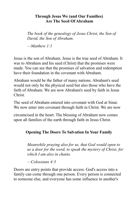### **Through Jesus We (and Our Families) Are The Seed Of Abraham**

*The book of the genealogy of Jesus Christ, the Son of David, the Son of Abraham.*

*—Matthew 1:1*

Jesus is the son of Abraham. Jesus is the true seed of Abraham. It was to Abraham and his seed (Christ) that the promises were made. You can see that the promises of salvation and redemption have their foundation in the covenant with Abraham.

Abraham would be the father of many nations. Abraham's seed would not only be the physical seed but also those who have the faith of Abraham. We are now Abraham's seed by faith in Jesus Christ.

The seed of Abraham entered into covenant with God at Sinai. We now enter into covenant through faith in Christ. We are now

circumcised in the heart. The blessing of Abraham now comes upon all families of the earth through faith in Jesus Christ.

### **Opening The Doors To Salvation In Your Family**

*Meanwhile praying also for us, that God would open to us a door for the word, to speak the mystery of Christ, for which I am also in chains.*

*—Colossians 4:3*

Doors are entry points that provide access. God's access into a family can come through one person. Every person is connected to someone else, and everyone has some influence in another's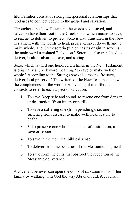life. Families consist of strong interpersonal relationships that God uses to connect people to the gospel and salvation.

Throughout the New Testament the words save, saved, and salvation have their root in the Greek sozo, which means to save, to rescue, to deliver, to protect. Sozo is also translated in the New Testament with the words to heal, preserve, save, do well, and to make whole. The Greek soteria (which has its origin in sozo) is the main word translated "salvation." Soteria is also translated to deliver, health, salvation, save, and saving.

Sozo, which is used one hundred ten times in the New Testament, is originally a Greek word meaning, "to save or make well or whole." According to the Strong's sozo also means, "to save, deliver, heal preserve." The writers of the New Testament showed the completeness of the word sozo by using it in different contexts to refer to each aspect of salvation.

- 1. To save, keep safe and sound, to rescue one from danger or destruction (from injury or peril)
- 2. To save a suffering one (from perishing), i.e. one suffering from disease, to make well, heal, restore to health
- 3. 3. To preserve one who is in danger of destruction, to save or rescue
- 4. To save in the technical biblical sense
- 5. To deliver from the penalties of the Messianic judgment
- 6. To save from the evils that obstruct the reception of the Messianic deliverance

A covenant believer can open the doors of salvation to his or her family by walking with God the way Abraham did. A covenant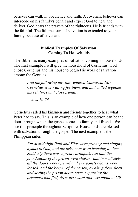believer can walk in obedience and faith. A covenant believer can intercede on his family's behalf and expect God to heal and deliver. God hears the prayers of the righteous. He is friends with the faithful. The full measure of salvation is extended to your family because of covenant.

### **Biblical Examples Of Salvation Coming To Households**

The Bible has many examples of salvation coming to households. The first example I will give the household of Cornelius. God chose Cornelius and his house to begin His work of salvation among the Gentiles.

> *And the following day they entered Caesarea. Now Cornelius was waiting for them, and had called together his relatives and close friends.*

*—Acts 10:24*

Cornelius called his kinsmen and friends together to hear what Peter had to say. This is an example of how one person can be the door through which the gospel comes to family and friends. We see this principle throughout Scripture. Households are blessed with salvation through the gospel. The next example is the Philippian jailer.

> *But at midnight Paul and Silas were praying and singing hymns to God, and the prisoners were listening to them. Suddenly there was a great earthquake, so that the foundations of the prison were shaken; and immediately all the doors were opened and everyone's chains were loosed. And the keeper of the prison, awaking from sleep and seeing the prison doors open, supposing the prisoners had fled, drew his sword and was about to kill*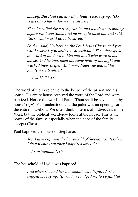*himself. But Paul called with a loud voice, saying, "Do yourself no harm, for we are all here."*

*Then he called for a light, ran in, and fell down trembling before Paul and Silas. And he brought them out and said, "Sirs, what must I do to be saved?"*

*So they said, "Believe on the Lord Jesus Christ, and you will be saved, you and your household." Then they spoke the word of the Lord to him and to all who were in his house. And he took them the same hour of the night and washed their stripes. And immediately he and all his family were baptized.*

*—Acts 16:25-33*

The word of the Lord came to the keeper of the prison and his house. His entire house received the word of the Lord and were baptized. Notice the words of Paul, "Thou shalt be saved, and thy house" (kjv). Paul understood that the jailer was an opening for the entire household. We often think in terms of individuals in the West, but the biblical worldview looks at the house. This is the power of the family, especially when the head of the family accepts Christ.

Paul baptized the house of Stephanas.

*Yes, I also baptized the household of Stephanas. Besides, I do not know whether I baptized any other.*

*—1 Corinthians 1:16*

The household of Lydia was baptized.

*And when she and her household were baptized, she begged us, saying, "If you have judged me to be faithful*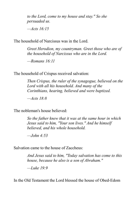*to the Lord, come to my house and stay." So she persuaded us.*

*—Acts 16:15*

The household of Narcissus was in the Lord.

*Greet Herodion, my countryman. Greet those who are of the household of Narcissus who are in the Lord.*

*—Romans 16:11*

The household of Crispus received salvation:

*Then Crispus, the ruler of the synagogue, believed on the Lord with all his household. And many of the Corinthians, hearing, believed and were baptized.*

*—Acts 18:8*

The nobleman's house believed:

*So the father knew that it was at the same hour in which Jesus said to him, "Your son lives." And he himself believed, and his whole household.*

*—John 4:53*

Salvation came to the house of Zaccheus:

*And Jesus said to him, "Today salvation has come to this house, because he also is a son of Abraham."*

*—Luke 19:9*

In the Old Testament the Lord blessed the house of Obed-Edom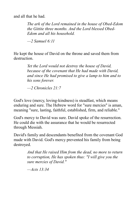and all that he had.

*The ark of the Lord remained in the house of Obed-Edom the Gittite three months. And the Lord blessed Obed-Edom and all his household.*

*—2 Samuel 6:11*

He kept the house of David on the throne and saved them from destruction.

> *Yet the Lord would not destroy the house of David, because of the covenant that He had made with David, and since He had promised to give a lamp to him and to his sons forever.*

*—2 Chronicles 21:7*

God's love (mercy, loving-kindness) is steadfast, which means enduring and sure. The Hebrew word for "sure mercies" is aman, meaning "sure, lasting, faithful, established, firm, and reliable."

God's mercy to David was sure. David spoke of the resurrection. He could die with the assurance that he would be resurrected through Messiah.

David's family and descendants benefited from the covenant God made with David. God's mercy prevented his family from being destroyed.

> *And that He raised Him from the dead, no more to return to corruption, He has spoken thus: "I will give you the sure mercies of David."*

*—Acts 13:34*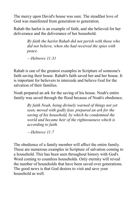The mercy upon David's house was sure. The steadfast love of God was manifested from generation to generation.

Rahab the harlot is an example of faith, and she believed for her deliverance and the deliverance of her household.

> *By faith the harlot Rahab did not perish with those who did not believe, when she had received the spies with peace.*

*—Hebrews 11:31*

Rahab is one of the greatest examples in Scripture of someone's faith saving their house. Rahab's faith saved her and her house. It is important for believers to intercede and believe God for the salvation of their families.

Noah prepared an ark for the saving of his house. Noah's entire family was saved through the flood because of Noah's obedience.

> *By faith Noah, being divinely warned of things not yet seen, moved with godly fear, prepared an ark for the saving of his household, by which he condemned the world and became heir of the righteousness which is according to faith.*

*—Hebrews 11:7*

The obedience of a family member will affect the entire family. These are numerous examples in Scripture of salvation coming to a household. This has been seen throughout history with God's Word coming to countless households. Only eternity will reveal the number of households that have been saved over generations. The good news is that God desires to visit and save your household as well.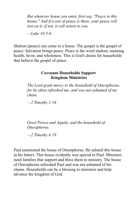*But whatever house you enter, first say, "Peace to this house." And if a son of peace is there, your peace will rest on it; if not, it will return to you.*

*—Luke 10:5-6*

Shalom (peace) can come to a house. The gospel is the gospel of peace. Salvation brings peace. Peace is the word shalom, meaning health, favor, and wholeness. This is God's desire for households that believe the gospel of peace.

### **Covenant Households Support Kingdom Ministries**

*The Lord grant mercy to the household of Onesiphorus, for he often refreshed me, and was not ashamed of my chain.*

*—2 Timothy 1:16*

*Greet Prisca and Aquila, and the household of Onesiphorus.*

*—2 Timothy 4:19*

Paul mentioned the house of Onesiphorus. He saluted this house in his letters. This house evidently was special to Paul. Ministers need families that support and bless them in ministry. The house of Onesiphorus refreshed Paul and was not ashamed of his chains. Households can be a blessing to ministers and help advance the kingdom of God.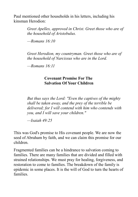Paul mentioned other households in his letters, including his kinsman Herodion:

> *Greet Apelles, approved in Christ. Greet those who are of the household of Aristobulus.*

*—Romans 16:10*

*Greet Herodion, my countryman. Greet those who are of the household of Narcissus who are in the Lord.*

*—Romans 16:11*

### **Covenant Promise For The Salvation Of Your Children**

*But thus says the Lord: "Even the captives of the mighty shall be taken away, and the prey of the terrible be delivered; for I will contend with him who contends with you, and I will save your children."*

*—Isaiah 49:25*

This was God's promise to His covenant people. We are now the seed of Abraham by faith, and we can claim this promise for our children.

Fragmented families can be a hindrance to salvation coming to families. There are many families that are divided and filled with strained relationships. We must pray for healing, forgiveness, and restoration to come to families. The breakdown of the family is epidemic in some places. It is the will of God to turn the hearts of families.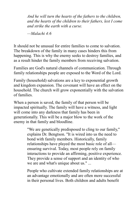*And he will turn the hearts of the fathers to the children, and the hearts of the children to their fathers, lest I come and strike the earth with a curse.*

*—Malachi 4:6*

It should not be unusual for entire families to come to salvation. The breakdown of the family in many cases hinders this from happening. This is why the enemy seeks to destroy families, and as a result hinder the family members from receiving salvation.

Families are God's natural channels of communication. Through family relationships people are exposed to the Word of the Lord.

Family (household) salvations are a key to exponential growth and kingdom expansion. The covenant will have an effect on the household. The church will grow exponentially with the salvation of families.

When a person is saved, the family of that person will be impacted spiritually. The family will have a witness, and light will come into any darkness that family has been in generationally. This will be a major blow to the work of the enemy in that family and bloodline.

> "We are genetically predisposed to cling to our family," explains Dr. Bengtson. "It is wired into us the need to bond with family members. Historically, family relationships have played the most basic role of all ensuring survival. Today, most people rely on family interactions to provide an affirming, positive experience. They provide a sense of support and an identity of who we are and what's unique about us." ...

People who cultivate extended family relationships are at an advantage emotionally and are often more successful in their personal lives. Both children and adults benefit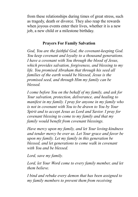from these relationships during times of great stress, such as tragedy, death or divorce. They also reap the rewards when joyous events enter their lives, whether it is a new job, a new child or a milestone birthday.

### **Prayers For Family Salvation**

*God, You are the faithful God, the covenant-keeping God. You keep covenant and loyalty to a thousand generations. I have a covenant with You through the blood of Jesus, which provides salvation, forgiveness, and blessing to my life. You promised Abraham that through his seed all families of the earth would be blessed, Jesus is the promised seed, and through Him my family can be blessed.*

*I come before You on the behalf of my family, and ask for Your salvation, protection, deliverance, and healing to manifest in my family. I pray for anyone in my family who is not in covenant with You to be drawn to You by Your Spirit and to accept Jesus as Lord and Savior. I pray for covenant blessing to come to my family and that my family would benefit from covenant blessings.*

*Have mercy upon my family, and let Your loving-kindness and tender mercy be over us. Let Your grace and favor be upon my family. Let my family in this generation be blessed, and let generations to come walk in covenant with You and be blessed.*

*Lord, save my family.*

*Lord, let Your Word come to every family member, and let them believe.*

*I bind and rebuke every demon that has been assigned to my family members to prevent them from receiving*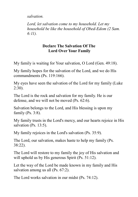*salvation.*

*Lord, let salvation come to my household. Let my household be like the household of Obed-Edom (2 Sam. 6:11).*

### **Declare The Salvation Of The Lord Over Your Family**

My family is waiting for Your salvation, O Lord (Gen. 49:18).

My family hopes for the salvation of the Lord, and we do His commandments (Ps. 119:166).

My eyes have seen the salvation of the Lord for my family (Luke 2:30).

The Lord is the rock and salvation for my family. He is our defense, and we will not be moved (Ps. 62:6).

Salvation belongs to the Lord, and His blessing is upon my family (Ps. 3:8).

My family trusts in the Lord's mercy, and our hearts rejoice in His salvation (Ps. 13:5).

My family rejoices in the Lord's salvation (Ps. 35:9).

The Lord, our salvation, makes haste to help my family (Ps. 38:22).

The Lord will restore to my family the joy of His salvation and will uphold us by His generous Spirit (Ps. 51:12).

Let the way of the Lord be made known in my family and His salvation among us all (Ps. 67:2).

The Lord works salvation in our midst (Ps. 74:12).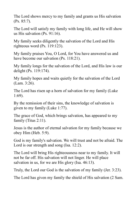The Lord shows mercy to my family and grants us His salvation (Ps. 85:7).

The Lord will satisfy my family with long life, and He will show us His salvation (Ps. 91:16).

My family seeks diligently the salvation of the Lord and His righteous word (Ps. 119:123).

My family praises You, O Lord, for You have answered us and have become our salvation (Ps. 118:21).

My family longs for the salvation of the Lord, and His law is our delight (Ps. 119:174).

My family hopes and waits quietly for the salvation of the Lord (Lam. 3:26).

The Lord has risen up a horn of salvation for my family (Luke 1:69).

By the remission of their sins, the knowledge of salvation is given to my family (Luke 1:77).

The grace of God, which brings salvation, has appeared to my family (Titus 2:11).

Jesus is the author of eternal salvation for my family because we obey Him (Heb. 5:9).

God is my family's salvation. We will trust and not be afraid. The Lord is our strength and song (Isa. 12:2).

The Lord will bring His righteousness near to my family. It will not be far off. His salvation will not linger. He will place salvation in us, for we are His glory (Isa. 46:13).

Truly, the Lord our God is the salvation of my family (Jer. 3:23).

The Lord has given my family the shield of His salvation (2 Sam.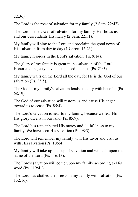22:36).

The Lord is the rock of salvation for my family (2 Sam. 22:47).

The Lord is the tower of salvation for my family. He shows us and our descendants His mercy (2 Sam. 22:51).

My family will sing to the Lord and proclaim the good news of His salvation from day to day (1 Chron. 16:23).

My family rejoices in the Lord's salvation (Ps. 9:14).

The glory of my family is great in the salvation of the Lord. Honor and majesty have been placed upon us (Ps. 21:5).

My family waits on the Lord all the day, for He is the God of our salvation (Ps. 25:5).

The God of my family's salvation loads us daily with benefits (Ps. 68:19).

The God of our salvation will restore us and cause His anger toward us to cease (Ps. 85:4).

The Lord's salvation is near to my family, because we fear Him. His glory dwells in our land (Ps. 85:9).

The Lord has remembered His mercy and faithfulness to my family. We have seen His salvation (Ps. 98:3).

The Lord will remember my family with His favor and visit us with His salvation (Ps. 106:4).

My family will take up the cup of salvation and will call upon the name of the Lord (Ps. 116:13).

The Lord's salvation will come upon my family according to His word (Ps. 119:41).

The Lord has clothed the priests in my family with salvation (Ps. 132:16).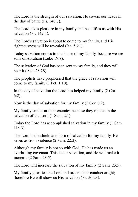The Lord is the strength of our salvation. He covers our heads in the day of battle (Ps. 140:7).

The Lord takes pleasure in my family and beautifies us with His salvation (Ps. 149:4).

The Lord's salvation is about to come to my family, and His righteousness will be revealed (Isa. 56:1).

Today salvation comes to the house of my family, because we are sons of Abraham (Luke 19:9).

The salvation of God has been sent to my family, and they will hear it (Acts 28:28).

The prophets have prophesied that the grace of salvation will come to my family (1 Pet. 1:10).

In the day of salvation the Lord has helped my family (2 Cor. 6:2).

Now is the day of salvation for my family (2 Cor. 6:2).

My family smiles at their enemies because they rejoice in the salvation of the Lord (1 Sam. 2:1).

Today the Lord has accomplished salvation in my family (1 Sam. 11:13).

The Lord is the shield and horn of salvation for my family. He saves us from violence (2 Sam. 22:3).

Although my family is not so with God, He has made us an everlasting covenant. This is our salvation, and He will make it increase (2 Sam. 23:5).

The Lord will increase the salvation of my family (2 Sam. 23:5).

My family glorifies the Lord and orders their conduct aright; therefore He will show us His salvation (Ps. 50:23).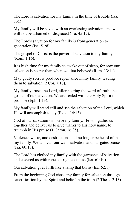The Lord is salvation for my family in the time of trouble (Isa. 33:2).

My family will be saved with an everlasting salvation, and we will not be ashamed or disgraced (Isa. 45:17).

The Lord's salvation for my family is from generation to generation (Isa. 51:8).

The gospel of Christ is the power of salvation to my family (Rom. 1:16).

It is high time for my family to awake out of sleep, for now our salvation is nearer than when we first believed (Rom. 13:11).

May godly sorrow produce repentance in my family, leading them to salvation (2 Cor. 7:10).

My family trusts the Lord, after hearing the word of truth, the gospel of our salvation. We are sealed with the Holy Spirit of promise (Eph. 1:13).

My family will stand still and see the salvation of the Lord, which He will accomplish today (Exod. 14:13).

God of our salvation will save my family. He will gather us together and deliver us to give thanks to His holy name, to triumph in His praise (1 Chron. 16:35).

Violence, waste, and destruction shall no longer be heard of in my family. We will call our walls salvation and our gates praise (Isa. 60:18).

The Lord has clothed my family with the garments of salvation and covered us with robes of righteousness (Isa. 61:10).

Our salvation goes forth like a lamp that burns (Isa. 62:1).

From the beginning God chose my family for salvation through sanctification by the Spirit and belief in the truth (2 Thess. 2:13).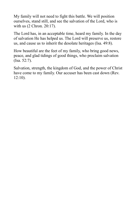My family will not need to fight this battle. We will position ourselves, stand still, and see the salvation of the Lord, who is with us (2 Chron. 20:17).

The Lord has, in an acceptable time, heard my family. In the day of salvation He has helped us. The Lord will preserve us, restore us, and cause us to inherit the desolate heritages (Isa. 49:8).

How beautiful are the feet of my family, who bring good news, peace, and glad tidings of good things, who proclaim salvation (Isa. 52:7).

Salvation, strength, the kingdom of God, and the power of Christ have come to my family. Our accuser has been cast down (Rev. 12:10).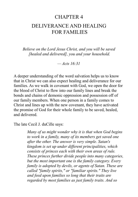## CHAPTER 4

# DELIVERANCE AND HEALING FOR FAMILIES

*Believe on the Lord Jesus Christ, and you will be saved [healed and delivered], you and your household.*

*— Acts 16:31*

A deeper understanding of the word salvation helps us to know that in Christ we can also expect healing and deliverance for our families. As we walk in covenant with God, we open the door for the blood of Christ to flow into our family lines and break the bonds and chains of demonic oppression and possession off of our family members. When one person in a family comes to Christ and lines up with the new covenant, they have activated the promise of God for their whole family to be saved, healed, and delivered.

The late Cecil J. duCille says:

*Many of us might wonder why it is that when God begins to work in a family, many of its members get saved one after the other. The answer is very simple. Satan's kingdom is set up under different principalities, which consists of princes each with their own areas of rule. These princes further divide people into many categories, but the most important one is the family category. Every family is adopted by devils, or agents of Satan. These are called "family spirits," or "familiar spirits." They live and feed upon families so long that their traits are regarded by most families as just family traits. And so*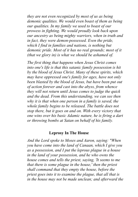*they are not even recognized by most of us as being demonic qualities. We would even boast of them as being our qualities. In my family we used to boast of our prowess in fighting. We would proudly look back upon our ancestry as being mighty warriors, when in truth and in fact, they were demon-possessed. Even the pride, which I find in families and nations, is nothing but demonic pride. Most of it has no real grounds; most of it (that we glory in) is what we should be ashamed of.*

*The first thing that happens when Jesus Christ comes into one's life is that this satanic family possession is hit by the blood of Jesus Christ. Many of these spirits, which may have oppressed one's family for ages, have not only been blasted by the blood of Jesus, but have been put out of action forever and cast into the abyss, from whence they will not return until Jesus comes to judge the quick and the dead. From this understanding, we can see then why it is that when one person in a family is saved, the whole family begins to be released. The battle does not stop there, but it goes on and on. With every victory that one wins over his basic Adamic nature, he is firing a dart or throwing bombs at Satan on behalf of his family.*

#### **Leprosy In The House**

*And the Lord spoke to Moses and Aaron, saying: "When you have come into the land of Canaan, which I give you as a possession, and I put the leprous plague in a house in the land of your possession, and he who owns the house comes and tells the priest, saying, 'It seems to me that there is some plague in the house,' then the priest shall command that they empty the house, before the priest goes into it to examine the plague, that all that is in the house may not be made unclean; and afterward the*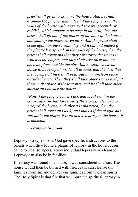*priest shall go in to examine the house. And he shall examine* the *plague; and indeed if the plague is on the walls of the house with ingrained streaks, greenish or reddish, which appear to be deep in the wall, then the priest shall go out of the house, to the door of the house, and shut up the house seven days. And the priest shall come again on the seventh day and look; and indeed if the plague has spread on the walls of the house, then the priest shall command that they take away the stones in which is the plague, and they shall cast them into an unclean place outside the city. And he shall cause the house to be scraped inside, all around, and the dust that they scrape off they shall pour out in an unclean place outside the city. Then they shall take other stones and put them in the place of those stones, and he shall take other mortar and plaster the house.*

*"Now if the plague comes back and breaks out in the house, after he has taken away the stones, after he has scraped the house, and after it is plastered, then the priest shall come and look; and indeed if the plague has spread in the house, it is an active leprosy in the house. It is unclean."*

*—Leviticus 14:33-44*

Leprosy is a type of sin. God gave specific instructions to the priests when they found a plague of leprosy in the house. Jesus came to cleanse lepers. Many individual lepers were cleansed. Leprosy can also be in families.

If leprosy was found in a house, it was considered unclean. The house would then be burned with fire. Jesus can cleanse our families from sin and deliver our families from unclean spirits. The Holy Spirit is that fire that will burn the spiritual leprosy in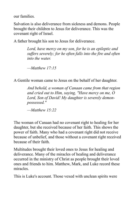our families.

Salvation is also deliverance from sickness and demons. People brought their children to Jesus for deliverance. This was the covenant right of Israel.

A father brought his son to Jesus for deliverance.

*Lord, have mercy on my son, for he is an epileptic and suffers severely; for he often falls into the fire and often into the water.* 

*—Matthew 17:15*

A Gentile woman came to Jesus on the behalf of her daughter.

*And behold, a woman of Canaan came from that region and cried out to Him, saying, "Have mercy on me, O Lord, Son of David! My daughter is severely demonpossessed."*

*—Matthew 15:22*

The woman of Canaan had no covenant right to healing for her daughter, but she received because of her faith. This shows the power of faith. Many who had a covenant right did not receive because of unbelief, and those without a covenant right received because of their faith.

Multitudes brought their loved ones to Jesus for healing and deliverance. Many of the miracles of healing and deliverance occurred in the ministry of Christ as people brought their loved ones and friends to him. Matthew, Mark, and Luke record these miracles.

This is Luke's account. Those vexed with unclean spirits were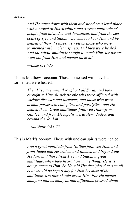healed.

*And He came down with them and stood on a level place with a crowd of His disciples and a great multitude of people from all Judea and Jerusalem, and from the seacoast of Tyre and Sidon, who came to hear Him and be healed of their diseases, as well as those who were tormented with unclean spirits. And they were healed. And the whole multitude sought to touch Him, for power went out from Him and healed them all.*

*—Luke 6:17-19*

This is Matthew's account. Those possessed with devils and tormented were healed.

> *Then His fame went throughout all Syria; and they brought to Him all sick people who were afflicted with various diseases and torments, and those who were demon-possessed, epileptics, and paralytics; and He healed them. Great multitudes followed Him—from Galilee, and from Decapolis, Jerusalem, Judea, and beyond the Jordan.*

*—Matthew 4:24-25*

This is Mark's account. Those with unclean spirits were healed.

*And a great multitude from Galilee followed Him, and from Judea and Jerusalem and Idumea and beyond the Jordan; and those from Tyre and Sidon, a great multitude, when they heard how many things He was doing, came to Him. So He told His disciples that a small boat should be kept ready for Him because of the multitude, lest they should crush Him. For He healed many, so that as many as had afflictions pressed about*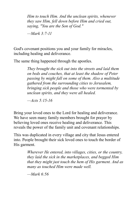*Him to touch Him. And the unclean spirits, whenever they saw Him, fell down before Him and cried out, saying, "You are the Son of God."*

*—Mark 3:7-11*

God's covenant positions you and your family for miracles, including healing and deliverance.

The same thing happened through the apostles.

*They brought the sick out into the streets and laid them on beds and couches, that at least the shadow of Peter passing by might fall on some of them. Also a multitude gathered from the surrounding cities to Jerusalem, bringing sick people and those who were tormented by unclean spirits, and they were all healed.*

*—Acts 5:15-16*

Bring your loved ones to the Lord for healing and deliverance. We have seen many family members brought for prayer by believing loved ones receive healing and deliverance. This reveals the power of the family unit and covenant relationships.

This was duplicated in every village and city that Jesus entered into. People brought their sick loved ones to touch the border of His garment.

> *Wherever He entered, into villages, cities, or the country, they laid the sick in the marketplaces, and begged Him that they might just touch the hem of His garment. And as many as touched Him were made well.*

*—Mark 6:56*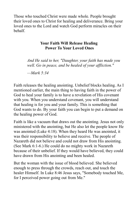Those who touched Christ were made whole. People brought their loved ones to Christ for healing and deliverance. Bring your loved ones to the Lord and watch God perform miracles on their behalf.

### **Your Faith Will Release Healing Power To Your Loved Ones**

*And He said to her, "Daughter, your faith has made you well. Go in peace, and be healed of your affliction."*

*—Mark 5:34*

Faith releases the healing anointing. Unbelief blocks healing. As I mentioned earlier, the main thing to having faith in the power of God to heal your family is to have a revelation of His covenant with you. When you understand covenant, you will understand that healing is for you and your family. This is something that God wants to do. By your faith you can begin to put a demand on the healing power of God.

Faith is like a vacuum that draws out the anointing. Jesus not only ministered with the anointing, but He also let the people know He was anointed (Luke 4:18). When they heard He was anointed, it was their responsibility to believe and receive. The people of Nazareth did not believe and could not draw from His anointing. (See Mark 6:1-6.) He could do no mighty work in Nazareth because of their unbelief. If they would have believed, they could have drawn from His anointing and been healed.

But the woman with the issue of blood believed. She believed enough to press through the crowds, reach out, and touch the healer Himself. In Luke 8:46 Jesus says, "Somebody touched Me, for I perceived power going out from Me."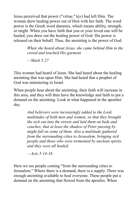Jesus perceived that power ("virtue," kjv) had left Him. The woman drew healing power out of Him with her faith. The word power is the Greek word dunamis, which means ability, strength, or might. When you have faith that you or your loved one will be healed, you draw out the healing power of God. His power is released on their behalf. Thus, the anointing is the power of God.

> *When she heard about Jesus, she came behind Him in the crowd and touched His garment.*

*—Mark 5:27*

This woman had heard of Jesus. She had heard about the healing anointing that was upon Him. She had heard that a prophet of God was ministering in Israel.

When people hear about the anointing, their faith will increase in this area, and they will then have the knowledge and faith to put a demand on the anointing. Look at what happened in the apostles' day.

> *And believers were increasingly added to the Lord, multitudes of both men and women, so that they brought the sick out into the streets and laid them on beds and couches, that at least the shadow of Peter passing by might fall on some of them. Also a multitude gathered from the surrounding cities to Jerusalem, bringing sick people and those who were tormented by unclean spirits, and they were all healed.*

*—Acts 5:14-16*

Here we see people coming "from the surrounding cities to Jerusalem." Where there is a demand, there is a supply. There was enough anointing available to heal everyone. These people put a demand on the anointing that flowed from the apostles. When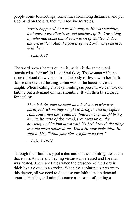people come to meetings, sometimes from long distances, and put a demand on the gift, they will receive miracles.

> *Now it happened on a certain day, as He was teaching, that there were Pharisees and teachers of the law sitting by, who had come out of every town of Galilee, Judea, and Jerusalem. And the power of the Lord was present to heal them.*

*—Luke 5:17*

The word power here is dunamis, which is the same word translated as "virtue" in Luke 8:46 (kjv). The woman with the issue of blood drew virtue from the body of Jesus with her faith. So we can say that healing virtue was in the house as Jesus taught. When healing virtue (anointing) is present, we can use our faith to put a demand on that anointing. It will then be released for healing.

> *Then behold, men brought on a bed a man who was paralyzed, whom they sought to bring in and lay before Him. And when they could not find how they might bring him in, because of the crowd, they went up on the housetop and let him down with his bed through the tiling into the midst before Jesus. When He saw their faith, He said to him, "Man, your sins are forgiven you."*

*—Luke 5:18-20*

Through their faith they put a demand on the anointing present in that room. As a result, healing virtue was released and the man was healed. There are times when the presence of the Lord is thick like a cloud in a service. When the anointing is present to this degree, all we need to do is use our faith to put a demand upon it. Healing and miracles come as a result of putting a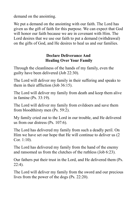demand on the anointing.

We put a demand on the anointing with our faith. The Lord has given us the gift of faith for this purpose. We can expect that God will honor our faith because we are in covenant with Him. The Lord desires that we use our faith to put a demand (withdrawal) on the gifts of God, and He desires to heal us and our families.

### **Declare Deliverance And Healing Over Your Family**

Through the cleanliness of the hands of my family, even the guilty have been delivered (Job 22:30).

The Lord will deliver my family in their suffering and speaks to them in their affliction (Job 36:15).

The Lord will deliver my family from death and keep them alive in famine (Ps. 33:19).

The Lord will deliver my family from evildoers and save them from bloodthirsty men (Ps. 59:2).

My family cried out to the Lord in our trouble, and He delivered us from our distress (Ps. 107:6).

The Lord has delivered my family from such a deadly peril. On Him we have set our hope that He will continue to deliver us (2 Cor. 1:10).

The Lord has delivered my family from the hand of the enemy and ransomed us from the clutches of the ruthless (Job 6:23).

Our fathers put their trust in the Lord, and He delivered them (Ps.  $22:4$ ).

The Lord will deliver my family from the sword and our precious lives from the power of the dogs (Ps. 22:20).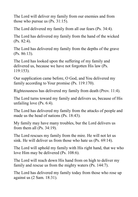The Lord will deliver my family from our enemies and from those who pursue us (Ps. 31:15).

The Lord delivered my family from all our fears (Ps. 34:4).

The Lord has delivered my family from the hand of the wicked (Ps. 82:4).

The Lord has delivered my family from the depths of the grave (Ps. 86:13).

The Lord has looked upon the suffering of my family and delivered us, because we have not forgotten His law (Ps. 119:153).

Our supplication came before, O God, and You delivered my family according to Your promise (Ps. 119:170).

Righteousness has delivered my family from death (Prov. 11:4).

The Lord turns toward my family and delivers us, because of His unfailing love (Ps. 6:4).

The Lord has delivered my family from the attacks of people and made us the head of nations (Ps. 18:43).

My family may have many troubles, bur the Lord delivers us from them all (Ps. 34:19).

The Lord rescues my family from the mire. He will not let us sink. He will deliver us from those who hate us (Ps. 69:14).

The Lord will uphold my family with His right hand, that we who love Him may be delivered (Ps. 108:6).

The Lord will reach down His hand from on high to deliver my family and rescue us from the mighty waters (Ps. 144:7).

The Lord has delivered my family today from those who rose up against us (2 Sam. 18:31).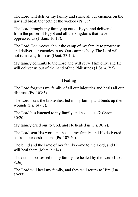The Lord will deliver my family and strike all our enemies on the jaw and break the teeth of the wicked (Ps. 3:7).

The Lord brought my family up out of Egypt and delivered us from the power of Egypt and all the kingdoms that have oppressed us (1 Sam. 10:18).

The Lord God moves about the camp of my family to protect us and deliver our enemies to us. Our camp is holy. The Lord will not turn away from us (Deut. 23:14).

My family commits to the Lord and will serve Him only, and He will deliver us out of the hand of the Philistines (1 Sam. 7:3).

### **Healing**

The Lord forgives my family of all our iniquities and heals all our diseases (Ps. 103:3).

The Lord heals the brokenhearted in my family and binds up their wounds (Ps. 147:3).

The Lord has listened to my family and healed us (2 Chron. 30:20).

My family cried our to God, and He healed us (Ps. 30:2).

The Lord sent His word and healed my family, and He delivered us from our destructions (Ps. 107:20).

The blind and the lame of my family come to the Lord, and He will heal them (Matt. 21:14).

The demon possessed in my family are healed by the Lord (Luke 8:36).

The Lord will heal my family, and they will return to Him (Isa. 19:22).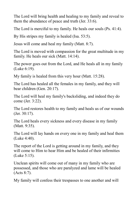The Lord will bring health and healing to my family and reveal to them the abundance of peace and truth (Jer. 33:6).

The Lord is merciful to my family. He heals our souls (Ps. 41:4).

By His stripes my family is healed (Isa. 53:5).

Jesus will come and heal my family (Matt. 8:7).

The Lord is moved with compassion for the great multitude in my family. He heals our sick (Matt. 14:14).

The power goes out from the Lord, and He heals all in my family (Luke 6:19).

My family is healed from this very hour (Matt. 15:28).

The Lord has healed all the females in my family, and they will bear children (Gen. 20:17).

The Lord will heal my family's backsliding, and indeed they do come (Jer. 3:22).

The Lord restores health to my family and heals us of our wounds (Jer. 30:17).

The Lord heals every sickness and every disease in my family (Matt. 9:35).

The Lord will lay hands on every one in my family and heal them (Luke 4:40).

The report of the Lord is getting around in my family, and they will come to Him to hear Him and be healed of their infirmities (Luke 5:15).

Unclean spirits will come out of many in my family who are possessed, and those who are paralyzed and lame will be healed (Acts 8:7).

My family will confess their trespasses to one another and will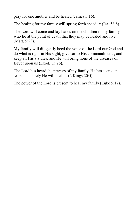pray for one another and be healed (James 5:16).

The healing for my family will spring forth speedily (Isa. 58:8).

The Lord will come and lay hands on the children in my family who lie at the point of death that they may be healed and live (Matt. 5:23).

My family will diligently heed the voice of the Lord our God and do what is right in His sight, give ear to His commandments, and keep all His statutes, and He will bring none of the diseases of Egypt upon us (Exod. 15:26).

The Lord has heard the prayers of my family. He has seen our tears, and surely He will heal us (2 Kings 20:5).

The power of the Lord is present to heal my family (Luke 5:17).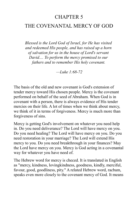# CHAPTER 5

### THE COVENANTAL MERCY OF GOD

*Blessed is the Lord God of Israel, for He has visited and redeemed His people, and has raised up a horn of salvation for us in the house of Lord's servant David.... To perform the mercy promised to our fathers and to remember His holy covenant.*

 *—Luke 1:68-72*

The basis of the old and new covenant is God's extension of tender mercy toward His chosen people. Mercy is the covenant performed on behalf of the seed of Abraham. When God is in covenant with a person, there is always evidence of His tender mercies on their life. A lot of times when we think about mercy, we think of it in terms of forgiveness. Mercy is much more than forgiveness of sins.

Mercy is getting God's involvement on whatever you need help in. Do you need deliverance? The Lord will have mercy on you. Do you need healing? The Lord will have mercy on you. Do you need restoration in your marriage? The Lord will extend His mercy to you. Do you need breakthrough in your finances? May the Lord have mercy on you. Mercy is God acting in a covenantal way for whatever you have need of.

The Hebrew word for mercy is checed. It is translated in English as "mercy, kindness, lovingkindness, goodness, kindly, merciful, favour, good, goodliness, pity." A related Hebrew word, racbam, speaks even more closely to the covenant mercy of God. It means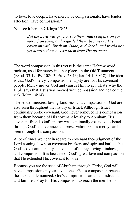'to love, love deeply, have mercy, be compassionate, have tender affection, have compassion."

You see it here in 2 Kings 13:23:

*But the Lord was gracious to them, had compassion [or mercy] on them, and regarded them, because of His covenant with Abraham, Isaac, and Jacob, and would not yet destroy them or cast them from His presence.*

The word compassion in this verse is the same Hebrew word, racham, used for mercy in other places in the Old Testament (Exod. 33:19; Ps. 102:13; Prov. 28:13; Isa. 14:1; 30:18). The idea is that God's mercy, compassion, and pity are for His covenant people. Mercy moves God and causes Him to act. That's why the Bible says that Jesus was moved with compassion and healed the sick (Matt. 14:14).

The tender mercies, loving-kindness, and compassion of God are also seen throughout the history of Israel. Although Israel continually broke covenant, God never removed His compassion from them because of His covenant loyalty to Abraham, His covenant friend. God's mercy was continually extended to Israel through God's deliverance and preservation. God's mercy can be seen through His compassion.

A lot of times we hear in regard to covenant the-judgment of the Lord coming down on covenant breakers and spiritual harlots, but God's covenant is really a covenant of mercy, loving-kindness, and compassion. It is because of God's great love and compassion that He extended His covenant to Israel.

Because you are the seed of Abraham through Christ, God will have compassion on your loved ones. God's compassion reaches the sick and demonized. God's compassion can touch individuals and families. Pray for His compassion to reach the members of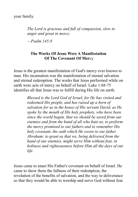your family.

*The Lord is gracious and full of compassion, slow to anger and great in mercy.*

*—Psalm 145:8*

### **The Works Of Jesus Were A Manifestation Of The Covenant Of Mer**cy

Jesus is the greatest manifestation of God's mercy ever known to man. His incarnation was the manifestation of eternal salvation and eternal redemption. The works that Jesus performed while on earth were acts of mercy on behalf of Israel. Luke 1:68-75 identifies all that Jesus was to fulfill during His life on earth:

> *Blessed is the Lord God of Israel, for He has visited and redeemed His people, and has raised up a horn of salvation for us in the house of His servant David, as He spoke by the mouth of His holy prophets, who have been since the world began, that we should be saved from our enemies and from the hand of all who hate us, to perform the mercy promised to our fathers and to remember His holy covenant, the oath which He swore to our father Abraham: to grant us that we, being delivered from the hand of our enemies, might serve Him without fear, in holiness and righteousness before Him all the days of our life.*

Jesus came to enact His Father's covenant on behalf of Israel. He came to show them the fullness of their redemption, the revelation of the benefits of salvation, and the way to deliverance so that they would be able to worship and serve God without fear.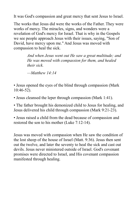It was God's compassion and great mercy that sent Jesus to Israel.

The works that Jesus did were the works of the Father. They were works of mercy. The miracles, signs, and wonders were a revelation of God's mercy for Israel. That is why in the Gospels we see people approach Jesus with their issues, saying, "Son of David, have mercy upon me." And Jesus was moved with compassion to heal the sick.

> *And when Jesus went out He saw a great multitude; and He was moved with compassion for them, and healed their sick.*

*—Matthew 14:14*

• Jesus opened the eyes of the blind through compassion (Mark 10:46-52).

• Jesus cleansed the leper through compassion (Mark 1:41).

• The father brought his demonized child to Jesus for healing, and Jesus delivered his child through compassion (Mark 9:21-23).

• Jesus raised a child from the dead because of compassion and restored the son to his mother (Luke 7:12-14).

Jesus was moved with compassion when He saw the condition of the lost sheep of the house of Israel (Matt. 9:36). Jesus then sent out the twelve, and later the seventy to heal the sick and cast out devils. Jesus never ministered outside of Israel. God's covenant promises were directed to Israel, and His covenant compassion manifested through healing.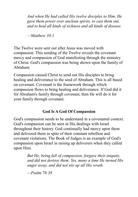*And when He had called His twelve disciples to Him, He gave them power over unclean spirits, to cast them out, and to heal all kinds of sickness and all kinds of disease.*

*—Matthew 10:1*

The Twelve were sent out after Jesus was moved with compassion. This sending of the Twelve reveals the covenant mercy and compassion of God manifesting through the ministry of Christ. God's compassion was being shown upon the family of Abraham.

Compassion caused Christ to send out His disciples to bring healing and deliverance to the seed of Abraham. This is all based on covenant. Covenant is the framework through which compassion flows to bring healing and deliverance. If God did it for Abraham's family through covenant, then He will do it for your family through covenant.

## **God Is A God Of Compassion**

God's compassion needs to be understand in a covenantal context. God's compassion can be seen in His dealings with Israel throughout their history. God continually had mercy upon them and delivered them in spite of their constant rebellion and covenant violations. The Book of Judges is an example of God's compassion upon Israel in raising up deliverers when they called upon Him.

> *But He, being full of compassion, forgave their iniquity, and did not destroy them. Yes, many a time He turned His anger away, and did not stir up all His wrath.*

*—Psalm 78:38*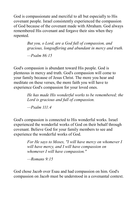God is compassionate and merciful to all but especially to His covenant people. Israel consistently experienced the compassion of God because of the covenant made with Abraham. God always remembered His covenant and forgave their sins when they repented.

> *But you, o Lord, are a God full of compassion, and gracious, longsuffering and abundant in mercy and truth.*

*—Psalm 86:15*

God's compassion is abundant toward His people. God is plenteous in mercy and truth. God's compassion will come to your family because of Jesus Christ. The more you hear and meditate on these verses, the more faith you will have to experience God's compassion for your loved ones.

> *He has made His wonderful works to be remembered; the Lord is gracious and full of compassion.*

*—Psalm 111:4*

God's compassion is connected to His wonderful works. Israel experienced the wonderful works of God on their behalf through covenant. Believe God for your family members to see and experience the wonderful works of God.

> *For He says to Moses, "I will have mercy on whomever I will have mercy, and I will have compassion on whomever I will have compassion."*

*—Romans 9:15*

God chose Jacob over Esau and had compassion on him. God's compassion on Jacob must be understood in a covenantal context.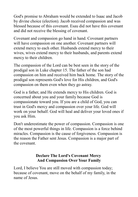God's promise to Abraham would be extended to Isaac and Jacob by divine choice (election). Jacob received compassion and was blessed because of this covenant. Esau did not have this covenant and did not receive the blessing of covenant.

Covenant and compassion go hand in hand. Covenant partners will have compassion on one another. Covenant partners will extend mercy to each other. Husbands extend mercy to their wives, wives extend mercy to their husbands, and parents extend mercy to their children.

The compassion of the Lord can be best seen in the story of the prodigal son in Luke chapter 15. The father of the son had compassion on him and received him back home. The story of the prodigal son represents God's love for His children, and God's compassion on them even when they go astray.

God is a father, and He extends mercy to His children. God is concerned about you and your family because God is compassionate toward you. If you are a child of God, you can trust in God's mercy and compassion over your life. God will work on your behalf. God will heal and deliver your loved ones if you ask Him.

Don't underestimate the power of compassion. Compassion is one of the most powerful things in life. Compassion is a force behind miracles. Compassion is the cause of forgiveness. Compassion is the reason the Father sent Jesus. Compassion is a major part of the covenant.

#### **Declare The Lord's Covenant Mercy And Compassion Over Your Family**

Lord, I believe You are still moved with compassion today; because of covenant, move on the behalf of my family, in the name of Jesus.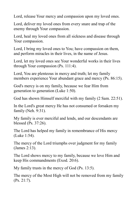Lord, release Your mercy and compassion upon my loved ones.

Lord, deliver my loved ones from every snare and trap of the enemy through Your compassion.

Lord, heal my loved ones from all sickness and disease through Your compassion.

Lord, I bring my loved ones to You; have compassion on them, and perform miracles in their lives, in the name of Jesus.

Lord, let my loved ones see Your wonderful works in their lives through Your compassion (Ps. 111:4).

Lord, You are plenteous in mercy and truth; let my family members experience Your abundant grace and mercy (Ps. 86:15).

God's mercy is on my family, because we fear Him from generation to generation (Luke 1:50).

God has shown Himself merciful with my family (2 Sam. 22:51).

In the Lord's great mercy He has not consumed or forsaken my family (Neh. 9:31).

My family is ever merciful and lends, and our descendants are blessed (Ps. 37:26).

The Lord has helped my family in remembrance of His mercy (Luke 1:54).

The mercy of the Lord triumphs over judgment for my family (James 2:13).

The Lord shows mercy to my family, because we love Him and keep His commandments (Exod. 20:6).

My family trusts in the mercy of God (Ps. 13:5).

The mercy of the Most High will not be removed from my family (Ps. 21:7).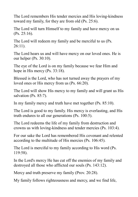The Lord remembers His tender mercies and His loving-kindness toward my family, for they are from old (Ps. 25:6).

The Lord will turn Himself to my family and have mercy on us (Ps. 25:16).

The Lord will redeem my family and be merciful to us (Ps. 26:11).

The Lord hears us and will have mercy on our loved ones. He is our helper (Ps. 30:10).

The eye of the Lord is on my family because we fear Him and hope in His mercy (Ps. 33:18).

Blessed is the Lord, who has not turned away the prayers of my loved ones or His mercy from us (Ps. 66:20).

The Lord will show His mercy to my family and will grant us His salvation (Ps. 85:7).

In my family mercy and truth have met together (Ps. 85:10).

The Lord is good to my family. His mercy is everlasting, and His truth endures to all our generations (Ps. 100:5).

The Lord redeems the life of my family from destruction and crowns us with loving-kindness and tender mercies (Ps. 103:4).

For our sake the Lord has remembered His covenant and relented according to the multitude of His mercies (Ps. 106:45).

The Lord is merciful to my family according to His word (Ps. 119:58).

In the Lord's mercy He has cut off the enemies of my family and destroyed all those who afflicted our souls (Ps. 143:12).

Mercy and truth preserve my family (Prov. 20:28).

My family follows righteousness and mercy, and we find life,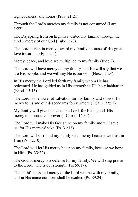righteousness, and honor (Prov. 21:21).

Through the Lord's mercies my family is not consumed (Lam. 3:22).

The Dayspring from on high has visited my family, through the tender mercy of our God (Luke 1:78).

The Lord is rich in mercy toward my family because of His great love toward us (Eph. 2:4).

Mercy, peace, and love are multiplied to my family (Jude 2).

The Lord will have mercy on my family, and He will say that we are His people, and we will say He is our God (Hosea 2:23).

In His mercy the Lord led forth my family whom He has redeemed. He has guided us in His strength to His holy habitation (Exod. 15:13).

The Lord is the tower of salvation for my family and shows His mercy to us and our descendants forevermore (2 Sam. 22:51).

My family will give thanks to the Lord, for He is good. His mercy to us endures forever (1 Chron. 16:34).

The Lord will make His face shine on my family and will save us, for His mercies' sake (Ps. 31:16).

The Lord will surround my family with mercy because we trust in Him (Ps. 32:10).

The Lord will let His mercy be upon my family, because we hope in Him (Ps. 33:22).

The God of mercy is a defense for my family. We will sing praise to the Lord, who is our strength (Ps. 59:17).

The faithfulness and mercy of the Lord will be with my family, and in His name our horn shall be exalted (Ps. 89:24).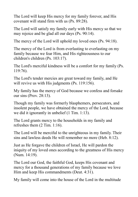The Lord will keep His mercy for my family forever, and His covenant will stand firm with us (Ps. 89:28).

The Lord will satisfy my family early with His mercy so that we may rejoice and be glad all our days (Ps. 90:14).

The mercy of the Lord will uphold my loved ones (Ps. 94:18).

The mercy of the Lord is from everlasting to everlasting on my family because we fear Him, and His righteousness to our children's children (Ps. 103:17).

The Lord's merciful kindness will be a comfort for my family (Ps. 119:76).

The Lord's tender mercies are great toward my family, and He will revive us with His judgments (Ps. 119:156).

My family has the mercy of God because we confess and forsake our sins (Prov. 28:13).

Though my family was formerly blasphemers, persecutors, and insolent people, we have obtained the mercy of the Lord, because we did it ignorantly in unbelief (1 Tim. 1:13).

The Lord grants mercy to the households in my family and refreshes them (2 Tim. 1:16).

The Lord will be merciful to the unrighteous in my family. Their sins and lawless deeds He will remember no more (Heb. 8:12).

Just as He forgave the children of Israel, He will pardon the iniquity of my loved ones according to the greatness of His mercy (Num. 14:19).

The Lord our God, the faithful God, keeps His covenant and mercy for a thousand generations of my family because we love Him and keep His commandments (Deut. 4:31).

My family will come into the house of the Lord in the multitude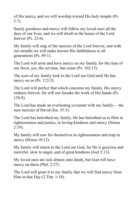of His mercy, and we will worship toward His holy temple (Ps. 5:7).

Surely goodness and mercy will follow my loved ones all the days of our lives, and we will dwell in the house of the Lord forever (Ps. 23:6).

My family will sing of the mercies of the Lord forever, and with our mouths we will make known His faithfulness to all generations (Ps. 89:1).

The Lord will arise and have mercy on my family, for the time of our favor, yes, the set time, has come (Ps. 102:13).

The eyes of my family look to the Lord our God until He has mercy on us (Ps. 123:2).

The Lord will perfect that which concerns my family. His mercy endures forever. He will not forsake the work of His hands (Ps. 138:8).

The Lord has made an everlasting covenant with my family— the sure mercies of David (Isa. 55:3).

The Lord has betrothed my family. He has betrothed us to Him in righteousness and justice, in loving-kindness and mercy (Hosea 2:19).

My family will sow for themselves in righteousness and reap in mercy (Hosea 10:12).

My family will return to the Lord our God, for He is gracious and merciful, slow to anger, and of great kindness (Joel 2:13).

My loved ones are sick almost unto death, but God will have mercy on them (Phil. 2:27).

The Lord will grant it to my family that we will find mercy from Him in that Day (2 Tim. 1:18).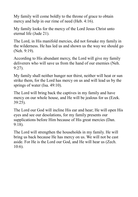My family will come boldly to the throne of grace to obtain mercy and help in our rime of need (Heb. 4:16).

My family looks for the mercy of the Lord Jesus Christ unto eternal life (Jude 21).

The Lord, in His manifold mercies, did not forsake my family in the wilderness. He has led us and shown us the way we should go (Neh. 9:19).

According to His abundant mercy, the Lord will give my family deliverers who will save us from the hand of our enemies (Neh. 9:27).

My family shall neither hunger nor thirst, neither will heat or sun strike them, for the Lord has mercy on us and will lead us by the springs of water (Isa. 49:10).

The Lord will bring back the captives in my family and have mercy on our whole house, and He will be jealous for us (Ezek. 39:25).

The Lord our God will incline His ear and hear; He will open His eyes and see our desolations, for my family presents our supplications before Him because of His great mercies (Dan. 9:18).

The Lord will strengthen the households in my family. He will bring us back because He has mercy on us. We will not be cast aside. For He is the Lord our God, and He will hear us (Zech. 10:6).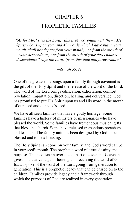# CHAPTER 6 PROPHETIC FAMILIES

*"As for Me," says the Lord, "this is My covenant with them: My Spirit who is upon you, and My words which I have put in your mouth, shall not depart from your mouth, nor from the mouth of your descendants, nor from the mouth of your descendants' descendants," says the Lord, "from this time and forevermore."*

 *—Isaiah 59:21*

One of the greatest blessings upon a family through covenant is the gift of the Holy Spirit and the release of the word of the Lord. The word of the Lord brings edification, exhortation, comfort, revelation, impartation, direction, healing, and deliverance. God has promised to put His Spirit upon us and His word in the mouth of our seed and our seed's seed.

We have all seen families that have a godly heritage. Some families have a history of ministers or missionaries who have blessed the world. Some families have tremendous musical gifts that bless the church. Some have released tremendous preachers and teachers. The family unit has been designed by God to be blessed and to be a blessing.

The Holy Spirit can come on your family, and God's word can be in your seed's mouth. The prophetic word releases destiny and purpose. This is often an overlooked part of covenant. Covenant gives us the advantage of hearing and receiving the word of God. Isaiah spoke of the word of the Lord going from generation to generation. This is a prophetic legacy that can be passed on to the children. Families provide legacy and a framework through which the purposes of God are realized in every generation.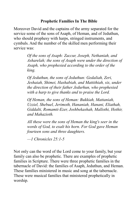## **Prophetic Families In The Bible**

Moreover David and the captains of the army separated for the service some of the sons of Asaph, of Heman, and of Jeduthun, who should prophesy with harps, stringed instruments, and cymbals. And the number of the skilled men performing their service was:

> *Of the sons of Asaph: Zaccur, Joseph, Nethaniah, and Asharelah; the sons of Asaph were under the direction of Asaph, who prophesied according to the order of the king.*

*Of Jeduthun, the sons of Jeduthun: Gedaliah, Zeri, Jeshaiah, Shimei, Hashabiah, and Mattithiah, six, under the direction of their father Jedurhun, who prophesied with a harp to give thanks and to praise the Lord.*

*Of Heman, the sons of Heman: Bukkiah, Mattaniah, Uzziel, Shebuel, Jerimoth, Hananiah, Hanani, Eliathah, Giddalti, Romamti-Ezer, Joshbekashah, Mallothi, Hothir, and Mahazioth.*

*All these were the sons of Heman the king's seer in the words of God, to exalt his horn. For God gave Heman fourteen sons and three daughters.*

*—1 Chronicles 25:1-5*

Not only can the word of the Lord come to your family, but your family can also be prophetic. There are examples of prophetic families in Scripture. There were three prophetic families in the tabernacle of David: the families of Asaph, Jeduthun, and Heman. These families ministered in music and song at the tabernacle. These were musical families that ministered prophetically in worship.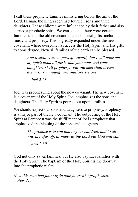I call these prophetic families ministering before the ark of the Lord. Heman, the king's seer, had fourteen sons and three daughters. These children were influenced by their father and also carried a prophetic spirit. We can see that there were certain families under the old covenant that had special gifts, including music and prophecy. This is greatly expanded under the new covenant, where everyone has access the Holy Spirit and His gifts to some degree. Now all families of the earth can be blessed.

> *And it shall come to pass afterward, that I will pour out my spirit upon all flesh; and your sons and your daughters shall prophesy, your old men shall dream dreams, your young men shall see visions.*

*—Joel 2:28*

Joel was prophesying about the new covenant. The new covenant is a covenant of the Holy Spirit. Joel emphasizes the sons and daughters. The Holy Spirit is poured out upon families.

We should expect our sons and daughters to prophesy. Prophecy is a major part of the new covenant. The outpouring of the Holy Spirit at Pentecost was the fulfillment of Joel's prophecy that emphasized the blessing of the sons and daughters.

> *The promise is to you and to your children, and to all who are afar off, as many as the Lord our God will call.*

*—Acts 2:39*

God not only saves families, but He also baptizes families with the Holy Spirit. The baptism of the Holy Spirit is the doorway into the prophetic realm.

*Now this man had four virgin daughters who prophesied. —Acts 21:9*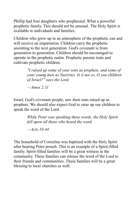Phillip had four daughters who prophesied. What a powerful prophetic family. This should not be unusual. The Holy Spirit is available to individuals and families.

Children who grow up in an atmosphere of the prophetic can and will receive an impartation. Children carry the prophetic anointing to the next generation. God's covenant is from generation to generation. Children should be encouraged to operate in the prophetic realm. Prophetic parents train and cultivate prophetic children.

> *"I raised up some of your sons as prophets, and some of your young men as Nazirites. Is it not so, O you children of Israel?" says the Lord.*

*—Amos 2:11*

Israel, God's covenant people, saw their sons raised up as prophets. We should also expect God to raise up our children to speak the word of the Lord.

> *While Peter was speaking these words, the Holy Spirit fell upon all those who heard the word.*

*—Acts 10:44*

The household of Cornelius was baptized with the Holy Spirit after hearing Peter preach. This is an example of a Spirit-filled family. Spirit-filled families will be a great witness in the community. These families can release the word of the Lord to their friends and communities. These families will be a great blessing to local churches as well.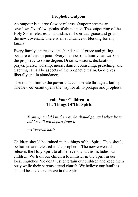## **Prophetic Outpour**

An outpour is a large flow or release. Outpour creates an overflow. Overflow speaks of abundance. The outpouring of the Holy Spirit releases an abundance of spiritual grace and gifts in the new covenant. There is an abundance of blessing for any family.

Every family can receive an abundance of grace and gifting because of this outpour. Every member of a family can walk in the prophetic to some degree. Dreams, visions, declaration, prayer, praise, worship, music, dance, counseling, preaching, and teaching can all be aspects of the prophetic realm. God gives liberally and in abundance.

There is no limit to the power that can operate through a family. The new covenant opens the way for all to prosper and prophesy.

## **Train Your Children In The Things Of The Spirit**

*Train up a child in the way he should go, and when he is old he will not depart from it.*

*—Proverbs 22:6*

Children should be trained in the things of the Spirit. They should be trained and released in the prophetic. The new covenant releases the Holy Spirit to all believers, and this includes our children. We train our children to minister in the Spirit in our local churches. We don't just entertain our children and keep them busy while their parents attend church. We believe our families should be saved and move in the Spirit.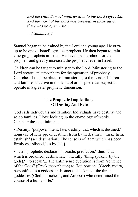*And the child Samuel ministered unto the Lord before Eli. And the word of the Lord was precious in those days; there was no open vision.*

*—1 Samuel 3:1*

Samuel began to be trained by the Lord at a young age. He grew up to be one of Israel's greatest prophets. He then began to train emerging prophets in Israel. He developed a school for the prophets and greatly increased the prophetic level in Israel.

Children can be taught to minister to the Lord. Ministering to the Lord creates an atmosphere for the operation of prophecy. Churches should be places of ministering to the Lord. Children and families that live in this kind of atmosphere can expect to operate in a greater prophetic dimension.

## **The Prophetic Implications Of Destiny And Fate**

God calls individuals and families. Individuals have destiny, and so do families. I love looking up the etymology of words. Consider these definitions:

• Destiny: "purpose, intent, fate, destiny; that which is destined," noun use of fem. pp. of destiner, from Latin destinare "make firm, establish" (see destination). The sense is of "that which has been firmly established," as by fate}

• Fate: "prophetic declaration, oracle, prediction," thus "that which is ordained, destiny, fate," literally "thing spoken (by the gods)," "to speak"... The Latin sense evolution is from "sentence of the Gods" (Greek theosphaton) to "lot, portion" (Greek, moira, personified as a goddess in Homer), also "one of the three goddesses (Clotho, Lachesis, and Atropos) who determined the course of a human life."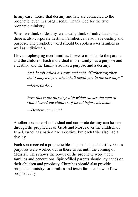In any case, notice that destiny and fate are connected to the prophetic, even in a pagan sense. Thank God for the true prophetic ministry.

When we think of destiny, we usually think of individuals, but there is also corporate destiny. Families can also have destiny and purpose. The prophetic word should be spoken over families as well as individuals.

I love prophesying over families. I love to minister to the parents and the children. Each individual in the family has a purpose and a destiny, and the family also has a purpose and a destiny.

> *And Jacob called his sons and said, "Gather together, that I may tell you what shall befall you in the last days."*

*—Genesis 49:1*

*Now this is the blessing with which Moses the man of God blessed the children of Israel before his death.*

*—Deuteronomy 33:1*

Another example of individual and corporate destiny can be seen through the prophecies of Jacob and Moses over the children of Israel. Israel as a nation had a destiny, but each tribe also had a destiny.

Each son received a prophetic blessing that shaped destiny. God's purposes were worked out in these tribes until the coming of Messiah. This shows the power of the prophetic word upon families and generations. Spirit-filled parents should lay hands on their children and prophesy. Churches should also provide prophetic ministry for families and teach families how to flow prophetically.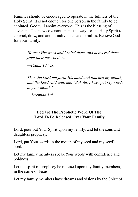Families should be encouraged to operate in the fullness of the Holy Spirit. It is not enough for one person in the family to be anointed. God will anoint everyone. This is the blessing of covenant. The new covenant opens the way for the Holy Spirit to convict, draw, and anoint individuals and families. Believe God for your family.

> *He sent His word and healed them, and delivered them from their destructions.*

*—Psalm 107:20*

*Then the Lord put forth His hand and touched my mouth, and the Lord said unto me: "Behold, I have put My words in your mouth."*

*—Jeremiah 1:9*

## **Declare The Prophetic Word Of The Lord To Be Released Over Your Family**

Lord, pour out Your Spirit upon my family, and let the sons and daughters prophesy.

Lord, put Your words in the mouth of my seed and my seed's seed.

Let my family members speak Your words with confidence and boldness.

Let the spirit of prophecy be released upon my family members, in the name of Jesus.

Let my family members have dreams and visions by the Spirit of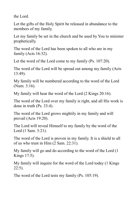the Lord.

Let the gifts of the Holy Spirit be released in abundance to the members of my family.

Let my family be set in the church and be used by You to minister prophetically.

The word of the Lord has been spoken to all who are in my family (Acts 16:32).

Let the word of the Lord come to my family (Ps. 107:20).

The word of the Lord will be spread out among my family (Acts 13:49).

My family will be numbered according to the word of the Lord (Num. 3:16).

My family will hear the word of the Lord (2 Kings 20:16).

The word of the Lord over my family is right, and all His work is done in truth (Ps. 33:4).

The word of the Lord grows mightily in my family and will prevail (Acts 19:20).

The Lord will reveal Himself to my family by the word of the Lord (1 Sam. 3:21).

The word of the Lord is proven in my family. It is a shield to all of us who trust in Him (2 Sam. 22:31).

My family will go and do according to the word of the Lord (1 Kings 17:5).

My family will inquire for the word of the Lord today (1 Kings  $22:5$ ).

The word of the Lord tests my family (Ps. 105:19).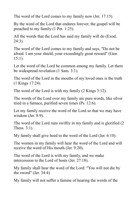The word of the Lord comes to my family now (Jer. 17:15).

By the word of the Lord that endures forever, the gospel will be preached to my family (1 Pet. 1:25).

All the words that the Lord has said my family will do (Exod. 24:3).

The word of the Lord comes to my family and says, "Do not be afraid. I am your shield, your exceedingly great reward" (Gen. 15:1).

Let the word of the Lord be common among my family. Let there be widespread revelation (1 Sam. 3:1).

The word of the Lord in the mouths of my loved ones is the truth (1 Kings 17:24).

The word of the Lord is with my family (2 Kings 3:12).

The words of the Lord over my family are pure words, like silver tried in a furnace, purified seven times (Ps. 12:6).

Let my family receive the word of the Lord so that we may have wisdom (Jer. 8:9).

The word of the Lord runs swiftly in my family and is glorified (2 Thess. 3:1).

My family shall give heed to the word of the Lord (Jer. 6:10).

The women in my family will hear the word of the Lord and will receive the word of His mouth (Jer. 9:20).

The word of the Lord is with my family, and we make intercession to the Lord of hosts (Jer. 27:18).

My family shall hear the word of the Lord: "You will not die by the sword" (Jer. 34:4).

My family will not suffer a famine of hearing the words of the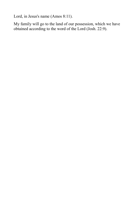Lord, in Jesus's name (Amos 8:11).

My family will go to the land of our possession, which we have obtained according to the word of the Lord (Josh. 22:9).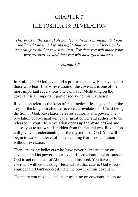# CHAPTER 7

# THE JOSHUA 1:8 REVELATION

*This Book of the Law shall not depart from your mouth, but you shall meditate in it day and night, that you may observe to do according to all that is written in it. For then you will make your way prosperous, and then you will have good success.*

*—Joshua 1:8*

In Psalm 25:14 God reveals His promise to show His covenant to those who fear Him. A revelation of the covenant is one of the most important revelations one can have. Meditating on the covenant is an important part of receiving this revelation.

Revelation releases the keys of the kingdom. Jesus gave Peter the keys of the kingdom after he received a revelation of Christ being the Son of God. Revelation releases authority and power. The revelation of covenant will cause great power and authority to be released in your life. Revelation opens up the Word of God and causes you to see what is hidden from the natural eye. Revelation will give you understanding of the mysteries of God. You will begin to walk in a level of understanding that is not common without revelation.

There are many believers who have never heard teaching on covenant and its power in our lives. Hie covenant is what caused God to act on behalf of Abraham and his seed. You have a covenant with God through Jesus Christ that causes God to act on your behalf. Don't underestimate the power of this covenant.

The more you meditate and hear teaching on covenant, the more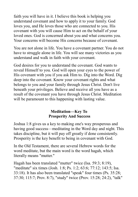faith you will have in it. I believe this book is helping you understand covenant and how to apply it to your family. God loves you, and He loves those who are connected to you. His covenant with you will cause Him to act on the behalf of your loved ones. God is concerned about you and what concerns you. Your concerns will become His concerns because of covenant.

You are not alone in life. You have a covenant partner. You do not have to struggle alone in life. You will see many victories as you understand and walk in faith with your covenant.

God desires for you to understand the covenant. God wants to reveal Himself to you. God will open your eyes to the power of His covenant with you if you ask Him to. Dig into the Word. Dig deep into the covenant. Know your covenant rights and what belongs to you and your family through Jesus Christ. Don't live beneath your privileges. Believe and receive all you have as a result of the covenant you have through Jesus Christ. Meditation will be paramount to this happening with lasting value.

### **Meditation—Key To Prosperity And Success**

Joshua 1:8 gives us a key to making one's way prosperous and having good success—meditating in the Word day and night. This takes discipline, but it will pay off greatly if done consistently. Prosperity is the key benefit to being in covenant with God.

In the Old Testament, there are several Hebrew words for the word meditate, but the main word is the word hagah, which literally means "mutter."

Hagah has been translated "mutter" twice (Isa. 59:3; 8:19), "meditate" six times (Josh. 1:8; Ps. 1:2; 63:6; 77:12; 143:5; Isa. 33:18). It has also been translated "speak" four times (Ps. 35:28; 37:30; 115:7; Prov. 8:7), "study" twice (Prov. 15:28; 24:2), "talk"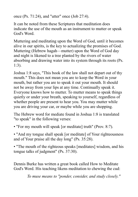once (Ps. 71:24), and "utter" once (Job 27:4).

It can be noted from these Scriptures that meditation does indicate the use of the mouth as an instrument to mutter or speak God's Word.

Muttering and meditating upon the Word of God, until it becomes alive in our spirits, is the key to actualizing the promises of God. Muttering (Hebrew hagah—mutter) upon the Word of God day and night is likened to a tree planted by the rivers of water absorbing and drawing water into its system through its roots (Ps. 1:3).

Joshua 1:8 says, "This book of the law shall not depart out of thy mouth." This does not mean you are to keep the Word in your mouth, but rather you are to speak it out your mouth. It should not be away from your lips at any time. Continually speak it. Everyone knows how to mutter. To mutter means to speak things quietly or under your breath, speaking to yourself, regardless of whether people are present to hear you. You may mutter while you are driving your car, or maybe while you are shopping.

The Hebrew word for mediate found in Joshua 1:8 is translated "to speak" in the following verses:

• "For my mouth will speak [or meditate] truth" (Prov. 8:7).

• "And my tongue shall speak [or meditate] of Your righteousness and of Your praise all the day long" (Ps. 35:28).

• "The mouth of the righteous speaks [meditates] wisdom, and his tongue talks of judgment" (Ps. 37:30).

Dennis Burke has written a great book called How to Meditate God's Word. His teaching likens meditation to chewing the cud:

*To muse means to "ponder, consider, and study closely."*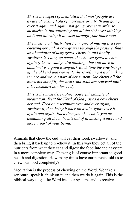*This is the aspect of meditation that most people are aware of: taking hold of a promise or a truth and going over it again and again; not going over it in order to memorize it, but squeezing out all the richness; thinking on it and allowing it to wash through your inner man.*

*The most vivid illustration I can give of musing is a cow chewing her cud. A cow grazes through the pasture, finds an abundance of tasty grass, chews it, and finally swallows it. Later, up comes the chewed grass to chew again (I know what you're thinking...but you have to admit—it is a good example!). Each time the cow brings up the old cud and chews it; she is refining it and making it more and more a part of her system. She chews all the nutrients out of it; the stems and stalk are removed until it is consumed into her body.*

*This is the most descriptive, powerful example of meditation. Treat the Word of God just as a cow chews her cud. Feed on a scripture over and over again, swallow it, then bring it back up again, going over it again and again. Each time you chew on it, you are demanding all the nutrients out of it, making it more and more a part of your being.*

Animals that chew the cud will eat their food, swallow it, and then bring it back up to re-chew it. In this way they get all of the nutrients from what they eat and digest the food into their system in a more complete way. Chewing is of course important to good health and digestion. How many times have our parents told us to chew our food completely?

Meditation is the process of chewing on the Word. We take a scripture, speak it, think on it, and then we do it again. This is the biblical way to get the Word into our systems and to receive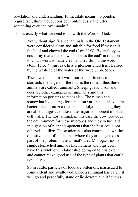revelation and understanding. To meditate means "to ponder, regurgitate, think aloud, consider continuously and utter something over and over again."

This is exactly what we need to do with the Word of God.

Not without significance, animals in the Old Testament were considered clean and suitable for food if they split the hoof and chewed the cud (Lev. 11:3). By analogy, we could say that a person who "chews the cud" in relation to God's word is made clean and fruitful by the word (John 15:3, 7); just as Christ's glorious church is cleansed by the washing of the water of the word (Eph. 5:26).

The cow is an animal with four compartments to its stomach, the largest of the four is the rumen, thus these animals are called ruminants. Sheep, goats, bison and deer are other examples of ruminants and this information pertains to them also. The rumen acts somewhat like a large fermentation var. Inside this vat are bacteria and protozoa that are cellulolytic, meaning they are able to digest cellulose, the major component of plant cell walls. The host animal, in this case the cow, provides the environment for these microbes and they in turn aid in digestion of plant components that the host could not otherwise utilize. These microbes also continue down the digestive tract of the animal where they are digested as part of the protein in the animal's diet. Monogastrics, or single stomached animals like humans and pigs don't have this symbiotic relationship going on to this extent and cannot make good use of the type of plants that cattle typically eat.

So in cattle, particles of food are bitten off, masticated to some extent and swallowed. Once a ruminant has eaten, it will go and peacefully stand or lie down while it "chews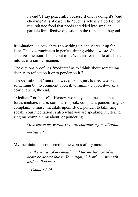its cud". I say peacefully because if one is doing it's "cud chewing" it is at ease. The "cud" is actually a portion of regurgitated food that needs shredded into smaller particle for effective digestion in the rumen and beyond.

Rumination—a cow chews something up and stores it up for later. The cow ruminates in perfect timing without waste. She squeezes the nourishment out of it. We transfer the life of Christ into us in a similar manner.

The dictionary defines "meditate" as to "think about something deeply, to reflect on it or to ponder on it."

The definition of "muse" however, is not just to meditate on something but to comment upon it, to ruminate upon it—like a cow chewing the cud.

"Meditate" or "muse"—Hebrew word siyach—means to put forth, mediate, muse, commune, speak, complain, ponder, sing, to complain, to muse, meditate upon, study, ponder, to talk, sing, speak. Your meditation is also what you are speaking, muttering, singing, complaining about, or pondering.

> *Give ear to my words, O Lord, consider my meditation. —Psalm 5:1*

My meditation is connected to the words of my mouth.

*Let the words of my mouth, and the meditation of my heart be acceptable in Your sight, O Lord, my strength and my Redeemer.*

*—Psalm 19:14*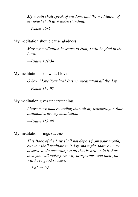*My mouth shall speak of wisdom; and the meditation of my heart shall give understanding.*

*—Psalm 49:3*

My meditation should cause gladness.

*May my meditation be sweet to Him; I will be glad in the Lord.*

*—Psalm 104:34*

My meditation is on what I love.

*O how I love Your law! It is my meditation all the day. —Psalm 119:97*

My meditation gives understanding.

*I have more understanding than all my teachers, for Your testimonies are my meditation.*

*—Psalm 119:99*

My meditation brings success.

*This Book of the Law shall not depart from your mouth, but you shall meditate in it day and night, that you may observe to do according to all that is written in it. For then you will make your way prosperous, and then you will have good success.*

*—Joshua 1:8*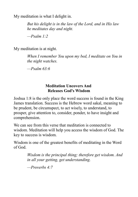My meditation is what I delight in.

*But his delight is in the law of the Lord, and in His law he meditates day and night.*

*—Psalm 1:2*

My meditation is at night.

*When I remember You upon my bed, I meditate on You in the night watches.*

*—Psalm 63:6*

## **Meditation Uncovers And Releases God's Wisdom**

Joshua 1:8 is the only place the word success is found in the King James translation. Success is the Hebrew word sakal, meaning to be prudent, be circumspect, to act wisely, to understand, to prosper, give attention to, consider, ponder, to have insight and comprehension.

We can see from this verse that meditation is connected to wisdom. Meditation will help you access the wisdom of God. The key to success is wisdom.

Wisdom is one of the greatest benefits of meditating in the Word of God.

> *Wisdom is the principal thing; therefore get wisdom. And in all your getting, get understanding.*

*—Proverbs 4:7*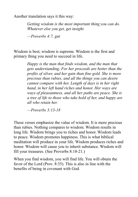Another translation says it this way:

*Getting wisdom is the most important thing you can do. Whatever else you get, get insight.*

*—Proverbs 4:7, gnt*

Wisdom is best; wisdom is supreme. Wisdom is the first and primary thing you need to succeed in life.

> *Happy is the man that finds wisdom, and the man that gets understanding. For her proceeds are better than the profits of silver, and her gain than fine gold. She is more precious than rubies, and all the things you can desire cannot compare with her. Length of days is in her right hand, in her left hand riches and honor. Her ways are ways of pleasantness, and all her paths are peace. She is a tree of life to those who take hold of her, and happy are all who retain her.*

*—Proverbs 3:13-18*

These verses emphasize the value of wisdom. It is more precious than rubies. Nothing compares to wisdom. Wisdom results in long life. Wisdom brings you to riches and honor. Wisdom leads to peace. Wisdom promotes happiness. This is what biblical meditation will produce in your life. Wisdom produces riches and honor. Wisdom will cause you to inherit substance. Wisdom will fill your treasures. (See Proverbs 8:18-21.)

When you find wisdom, you will find life. You will obtain the favor of the Lord (Prov. 8:35). This is also in line with the benefits of being in covenant with God.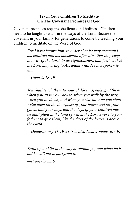#### **Teach Your Children To Meditate On The Covenant Promises Of God**

Covenant promises require obedience and holiness. Children need to be taught to walk in the ways of the Lord. Secure the covenant in your family for generations to come by teaching your children to meditate on the Word of God.

> *For I have known him, in order chat he may command his children and his household after him, that they keep the way of the Lord, to do righteousness and justice, that the Lord may bring to Abraham what He has spoken to him.*

*—Genesis 18:19*

*You shall teach them to your children, speaking of them when you sit in your house, when you walk by the way, when you lie down, and when you rise up. And you shall write them on the doorposts of your house and on your gates, that your days and the days of your children may be multiplied in the land of which the Lord swore to your fathers to give them, like the days of the heavens above the earth.*

*—Deuteronomy 11:19-21 (see also Deuteronomy 6:7-9)*

*Train up a child in the way he should go, and when he is old he will not depart from it.*

*—Proverbs 22:6*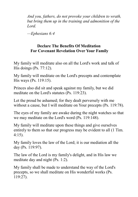*And you, fathers, do not provoke your children to wrath, but bring them up in the training and admonition of the Lord.*

*—Ephesians 6:4*

## **Declare The Benefits Of Meditation For Covenant Revelation Over Your Family**

My family will meditate also on all the Lord's work and talk of His doings (Ps. 77:12).

My family will meditate on the Lord's precepts and contemplate His ways (Ps. 119:15).

Princes also did sit and speak against my family, but we did meditate on the Lord's statutes (Ps. 119:23).

Let the proud be ashamed; for they dealt perversely with me without a cause, but I will meditate on Your precepts (Ps. 119:78).

The eyes of my family are awake during the night watches so that we may meditate on the Lord's word (Ps. 119:148).

My family will meditate upon these things and give ourselves entirely to them so that our progress may be evident to all (1 Tim. 4:15).

My family loves the law of the Lord; it is our mediation all the day (Ps. 119:97).

The law of the Lord is my family's delight, and in His law we meditate day and night (Ps. 1:2).

My family shall be made to understand the way of the Lord's precepts, so we shall meditate on His wonderful works (Ps. 119:27).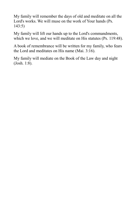My family will remember the days of old and meditate on all the Lord's works. We will muse on the work of Your hands (Ps. 143:5)

My family will lift our hands up to the Lord's commandments, which we love, and we will meditate on His statutes (Ps. 119:48).

A book of remembrance will be written for my family, who fears the Lord and meditates on His name (Mai. 3:16).

My family will mediate on the Book of the Law day and night (Josh. 1:8).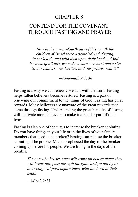# CHAPTER 8

# CONTEND FOR THE COVENANT THROUGH FASTING AND PRAYER

*Now in the twenty-fourth day of this month the children of Israel were assembled with fasting, in sackcloth, and with dust upon their head.... "And because of all this, we make a sure covenant and write it; our leaders, our Levites, and our priests, seal it."* 

*—Nehemiah 9:1, 38*

Fasting is a way we can renew covenant with the Lord. Fasting helps fallen believers become restored. Fasting is a part of renewing our commitment to the things of God. Fasting has great rewards. Many believers are unaware of the great rewards that come through fasting. Understanding the great benefits of fasting will motivate more believers to make it a regular part of their lives.

Fasting is also one of the ways to increase the breaker anointing. Do you have things in your life or in the lives of your family members that need to be broken? Fasting can release the breaker anointing. The prophet Micah prophesied the day of the breaker coming up before his people. We are living in the days of the breaker.

> *The one who breaks open will come up before them; they will break out, pass through the gate, and go out by it; their king will pass before them, with the Lord at their head.*

*—Micah 2:13*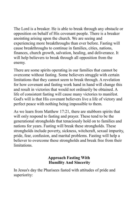The Lord is a breaker. He is able to break through any obstacle or opposition on behalf of His covenant people. There is a breaker anointing arising upon the church. We are seeing and experiencing more breakthroughs than ever before. Fasting will cause breakthroughs to continue in families, cities, nations, finances, church growth, salvation, healing, and deliverance. It will help believers to break through all opposition from the enemy.

There are some spirits operating in our families that cannot be overcome without fasting. Some believers struggle with certain limitations that they cannot seem to break through. A revelation for how covenant and fasting work hand in hand will change this and result in victories that would not ordinarily be obtained. A life of consistent fasting will cause many victories to manifest. God's will is that His covenant believers live a life of victory and perfect peace with nothing being impossible to them.

As we learn from Matthew 17:21, there are stubborn spirits that will only respond to fasting and prayer. These tend to be the generational strongholds that tenaciously hold on to families and nations for years. Fasting will break these strongholds. These strongholds include poverty, sickness, witchcraft, sexual impurity, pride, fear, confusion, and marital problems. Fasting will help a believer to overcome these strongholds and break free from their limitations.

#### **Approach Fasting With Humility And Sincerity**

In Jesus's day the Pharisees fasted with attitudes of pride and superiority: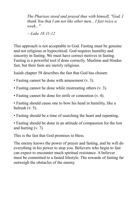*The Pharisee stood and prayed thus with himself, "God, I thank You that I am not like other men... I fast twice a week..."*

*—Luke 18:11-12*

This approach is not acceptable to God. Fasting must be genuine and not religious or hypocritical. God requires humility and sincerity in fasting. We must have correct motives in fasting. Fasting is a powerful tool if done correctly. Muslims and Hindus fast, but their fasts are merely religious.

Isaiah chapter 58 describes the fast that God has chosen:

- Fasting cannot be done with amusement (v. 3).
- Fasting cannot be done while mistreating others (v. 3).
- Fasting cannot be done for strife or contention (v. 4).

• Fasting should cause one to bow his head in humility, like a bulrush (v. 5).

• Fasting should be a time of searching the heart and repenting.

• Fasting should be done in an attitude of compassion for the lost and hurting (v. 7).

This is the fast that God promises to bless.

The enemy knows the power of prayer and fasting, and he will do everything in his power to stop you. Believers who begin to fast can expect to encounter much spiritual resistance. A believer must be committed to a fasted lifestyle. The rewards of fasting far outweigh the obstacles of the enemy.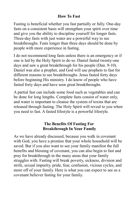#### **How To Fast**

Fasting is beneficial whether you fast partially or fully. One-day fasts on a consistent basis will strengthen your spirit over time and give you the ability to discipline yourself for longer fasts. Three-day fasts with just water are a powerful way to see breakthroughs. Fasts longer than three days should be done by people with more experience in fasting.

I do not recommend long fasts unless there is an emergency or if one is led by the Holy Spirit to do so. Daniel fasted twenty-one days and saw a great breakthrough for his people (Dan. 9-10). Daniel was also a prophet, and God will use prophets to fast for different reasons to see breakthroughs. Jesus fasted forty days before beginning His ministry. I do know of people who have fasted forty days and have seen great breakthroughs.

A partial fast can include some food such as vegetables and can be done for long lengths. Complete fasts consist of water only, and water is important to cleanse the system of toxins that are released through fasting. The Holy Spirit will reveal to you when you need to fast. A fasted lifestyle is a powerful lifestyle.

#### **The Benefits Of Fasting For Breakthrough In Your Family**

As we have already discussed, because you walk in covenant with God, you have a promise that your whole household will be saved. But if you also want to see your family manifest the full benefits and blessing of covenant, you can also begin to fast and pray for breakthrough in the many areas that your family struggles with. Fasting will break poverty, sickness, division and strife, sexual impurity, pride, fear, confusion, vicious cycles, and more off of your family. Here is what you can expect to see as a covenant believer fasting for your family.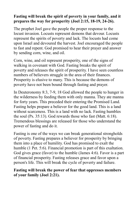# **Fasting will break the spirit of poverty in your family, and it prepares the way for prosperity (Joel 2:15, 18-19, 24-26).**

The prophet Joel gave the people the proper response to the locust invasion. Locusts represent demons that devour. Locusts represent the spirits of poverty and lack. The locusts had come upon Israel and devoured the harvest. Joel encouraged the people to fast and repent. God promised to hear their prayer and answer by sending corn, wine, and oil.

Corn, wine, and oil represent prosperity, one of the signs of walking in covenant with God. Fasting breaks the spirit of poverty and releases the spirit of prosperity. I have seen countless numbers of believers struggle in the area of their finances. Prosperity is elusive to many. This is because the demons of poverty have not been bound through fasting and prayer.

In Deuteronomy 8:3, 7-9, 18 God allowed the people to hunger in the wilderness by feeding them with only manna. They ate manna for forty years. This preceded their entering the Promised Land. Fasting helps prepare a believer for the good land. This is a land without scarceness. This is a land with no lack. Fasting humbles the soul (Ps. 35:13). God rewards those who fast (Matt. 6:18). Tremendous blessings are released for those who understand the power of fasting and do it.

Fasting is one of the ways we can break generational strongholds of poverty. Fasting prepares a believer for prosperity by bringing them into a place of humility. God has promised to exalt the humble (1 Pet. 5:6). Financial promotion is part of this exaltation. God gives grace (favor) to the humble (James 4:6). Favor is a part of financial prosperity. Fasting releases grace and favor upon a person's life. This will break the cycle of poverty and failure.

#### **Fasting will break the power of fear that oppresses members of your family (Joel 2:21).**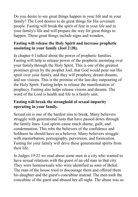Do you desire to see great things happen in your life and in your family? The Lord desires to do great things for His covenant people. Fasting will break the spirit of fear in your life and in your family's life and will prepare the way for great things to happen. These great things include signs and wonders.

# **Fasting will release the Holy Spirit and increase prophetic anointing in your family (Joel 2:28).**

In chapter 6 I talked about the power of prophetic families. Fasting will help to release power of the prophetic anointing over your family through the Holy Spirit. This is one of the greatest promises given by the prophet Joel, that God would pour out His spirit over your family, and they will prophesy, dream dreams, and see visions. This is the promise of the last-day outpouring of the Holy Spirit. Fasting helps to release the manifestation of prophecy. Fasting also helps release visions and dreams. The word of the Lord is health and life to a family unit.

# **Fasting will break the stronghold of sexual impurity operating in your family.**

Sexual sin is one of the hardest sins to break. Many believers struggle with generational lusts that have passed down through the family lines. Lust spirits cause much shame, guilt, and condemnation. This robs the believers of the confidence and boldness he should have as a believer. Many believers struggle with masturbation, pornography, perversion, and fornication. Fasting for your family will drive these generational spirits from their life.

In Judges 19:22 we read about some men in a city who wanted to have sexual relations with the guest of an old man in that city. They were homosexuals who were identified as sons of Belial. The man of the house tried to discourage them and offered them his daughter and the guest's concubine instead. The men took the concubine of the guest and abused her all night. The abuse was so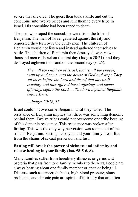severe that she died. The guest then took a knife and cut the concubine into twelve pieces and sent them to every tribe in Israel. His concubine had been raped to death.

The men who raped the concubine were from the tribe of Benjamin. The men of Israel gathered against the city and requested they turn over the guilty men. The children of Benjamin would not listen and instead gathered themselves to battle. The children of Benjamin then destroyed twenty-two thousand men of Israel on the first day (Judges 20:21), and they destroyed eighteen thousand on the second day (v. 25).

> *Then all the children of Israel, that is, all the people, went up and came unto the house of God and wept. They sat there before the Lord and fasted that day until evening; and they offered burnt offerings and peace offerings before the Lord. ... The Lord defeated Benjamin before Israel.*

*—Judges 20:26, 35*

Israel could not overcome Benjamin until they fasted. The resistance of Benjamin implies that there was something demonic behind them. Twelve tribes could not overcome one tribe because of this demonic resistance. This resistance was broken after fasting. This was the only way perversion was rooted out of the tribe of Benjamin. Fasting helps you and your family break free from the chains of sexual perversion and lust.

#### **Fasting will break the power of sickness and infirmity and release healing in your family (Isa. 58:5-6, 8).**

Many families suffer from hereditary illnesses or germs and bacteria that pass from one family member to the next. People are always hearing about one family member or another being ill. Diseases such as cancer, diabetes, high blood pressure, sinus problems, and chronic pain are spirits of infirmity that are often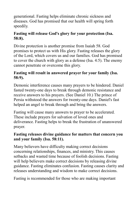generational. Fasting helps eliminate chronic sickness and diseases. God has promised that our health will spring forth speedily.

# **Fasting will release God's glory for your protection (Isa. 58:8).**

Divine protection is another promise from Isaiah 58. God promises to protect us with His glory. Fasting releases the glory of the Lord, which covers us and our families. God has promised to cover the church with glory as a defense (Isa. 4:5). The enemy cannot penetrate or overcome this glory.

# **Fasting will result in answered prayer for your family (Isa. 58:9).**

Demonic interference causes many prayers to be hindered. Daniel fasted twenty-one days to break through demonic resistance and receive answers to his prayers. (See Daniel 10.) The prince of Persia withstood the answers for twenty-one days. Daniel's fast helped an angel to break through and bring the answers.

Fasting will cause many answers to prayer to be accelerated. These include prayers for salvation of loved ones and deliverance. Fasting helps to break the frustration of unanswered prayer.

# **Fasting releases divine guidance for matters that concern you and your family (Isa. 58:11).**

Many believers have difficulty making correct decisions concerning relationships, finances, and ministry. This causes setbacks and wasted time because of foolish decisions. Fasting will help believers make correct decisions by releasing divine guidance. Fasting eliminates confusion. Fasting causes clarity and releases understanding and wisdom to make correct decisions.

Fasting is recommended for those who are making important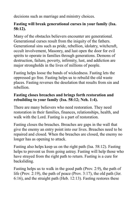decisions such as marriage and ministry choices.

## **Fasting will break generational curses in your family (Isa. 58:12).**

Many of the obstacles believers encounter are generational. Generational curses result from the iniquity of the fathers. Generational sins such as pride, rebellion, idolatry, witchcraft, occult involvement, Masonry, and lust open the door for evil spirits to operate in families through generations. Demons of destruction, failure, poverty, infirmity, lust, and addiction are major strongholds in the lives of millions of people.

Fasting helps loose the bands of wickedness. Fasting lets the oppressed go free. Fasting helps us to rebuild the old waste places. Fasting reverses the desolation that results from sin and rebellion.

### **Fasting closes breaches and brings forth restoration and rebuilding to your family (Isa. 58:12; Neh. 1:4).**

There are many believers who need restoration. They need restoration in their families, finances, relationships, health, and walk with the Lord. Fasting is a part of restoration.

Fasting closes the breaches. Breaches are gaps in the wall that give the enemy an entry point into our lives. Breaches need to be repaired and closed. When the breaches are closed, the enemy no longer has as opening to attack.

Fasting also helps keep us on the right path (Isa. 58:12). Fasting helps to prevent us from going astray. Fasting will help those who have strayed from the right path to return. Fasting is a cure for backsliding.

Fasting helps us to walk in the good path (Prov. 2:9), the path of life (Prov. 2:19), the path of peace (Prov. 3:17), the old path (Jer. 6:16), and the straight path (Heb. 12:13). Fasting restores these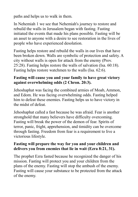paths and helps us to walk in them.

In Nehemiah 1 we see that Nehemiah's journey to restore and rebuild the walls in Jerusalem began with fasting. Fasting initiated the events that made his plans possible. Fasting will be an asset to anyone with a desire to see restoration in the lives of people who have experienced desolation.

Fasting helps restore and rebuild the walls in our lives that have been broken down. Walls are symbolic of protection and safety. A city without walls is open for attack from the enemy (Prov. 25:28). Fasting helps restore the walls of salvation (Isa. 60:18). Fasting helps restore watchmen to the walls (Isa. 62:6).

# **Fasting will cause you and your family to have great victory against overwhelming odds (2 Chron. 20:3).**

Jehoshaphat was facing the combined armies of Moab, Ammon, and Edom. He was facing overwhelming odds. Fasting helped him to defeat these enemies. Fasting helps us to have victory in the midst of defeat.

Jehoshaphat called a fast because he was afraid. Fear is another stronghold that many believers have difficulty overcoming. Fasting will break the power of the demon of fear. Spirits of terror, panic, fright, apprehension, and timidity can be overcome through fasting. Freedom from fear is a requirement to live a victorious lifestyle.

# **Fasting will prepare the way for you and your children and delivers you from enemies that lie in wait (Ezra 8:21, 31).**

The prophet Ezra fasted because he recognized the danger of his mission. Fasting will protect you and your children from the plans of the enemy. Fasting will stop the ambush of the enemy. Fasting will cause your substance to be protected from the attack of the enemy.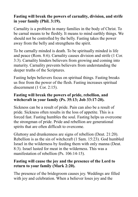# **Fasting will break the powers of carnality, division, and strife in your family (Phil. 3:19).**

Carnality is a problem in many families in the body of Christ. To be carnal means to be fleshly. It means to mind earthly things. We should not be controlled by the belly. Fasting takes the power away from the belly and strengthens the spirit.

To be carnally minded is death. To be spiritually minded is life and peace (Rom. 8:6). Carnality causes division and strife (1 Cor. 3:3). Carnality hinders believers from growing and coming into maturity. Carnality prevents believers from understanding the deeper truths of the Scriptures.

Fasting helps believers focus on spiritual things. Fasting breaks us free from the power of the flesh. Fasting increases spiritual discernment (1 Cor. 2:15).

## **Fasting will break the powers of pride, rebellion, and witchcraft in your family (Ps. 35:13; Job 33:17-20).**

Sickness can be a result of pride. Pain can also be a result of pride. Sickness often results in the loss of appetite. This is a forced fast. Fasting humbles the soul. Fasting helps us overcome the strongman of pride. Pride and rebellion are generational spirits that are often difficult to overcome.

Gluttony and drunkenness are signs of rebellion (Deut. 21:20). Rebellion is as the sin of witchcraft (1 Sam. 15:23). God humbled Israel in the wilderness by feeding them with only manna (Deut. 8:3). Israel lusted for meat in the wilderness. This was a manifestation of rebellion (Ps. 106:14-15).

## **Fasting will cause the joy and the presence of the Lord to return to your family (Mark 2:20).**

The presence of the bridegroom causes joy. Weddings are filled with joy and celebration. When a believer loses joy and the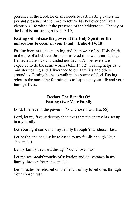presence of the Lord, he or she needs to fast. Fasting causes the joy and presence of the Lord to return. No believer can live a victorious life without the presence of the bridegroom. The joy of the Lord is our strength (Neh. 8:10).

## **Fasting will release the power of the Holy Spirit for the miraculous to occur in your family (Luke 4:14, 18).**

Fasting increases the anointing and the power of the Holy Spirit in the life of a believer. Jesus ministered in power after fasting. He healed the sick and casted out devils. All believers are expected to do the same works (John 14:12). Fasting helps us to minister healing and deliverance to our families and others around us. Fasting helps us walk in the power of God. Fasting releases the anointing for miracles to happen in your life and your family's lives.

## **Declare The Benefits Of Fasting Over Your Family**

Lord, I believe in the power of Your chosen fast (Isa. 58).

Lord, let my fasting destroy the yokes that the enemy has set up in my family.

Let Your light come into my family through Your chosen fast.

Let health and healing be released to my family though Your chosen fast.

Be my family's reward through Your chosen fast.

Let me see breakthroughs of salvation and deliverance in my family through Your chosen fast.

Let miracles be released on the behalf of my loved ones through Your chosen fast.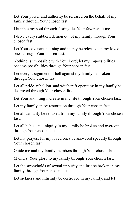Let Your power and authority be released on the behalf of my family through Your chosen fast.

I humble my soul through fasting; let Your favor exalt me.

I drive every stubborn demon out of my family through Your chosen fast.

Let Your covenant blessing and mercy be released on my loved ones through Your chosen fast.

Nothing is impossible with You, Lord; let my impossibilities become possibilities through Your chosen fast.

Let every assignment of hell against my family be broken through Your chosen fast.

Let all pride, rebellion, and witchcraft operating in my family be destroyed through Your chosen fast.

Let Your anointing increase in my life through Your chosen fast.

Let my family enjoy restoration through Your chosen fast.

Let all carnality be rebuked from my family through Your chosen fast.

Let all habits and iniquity in my family be broken and overcome through Your chosen fast.

Let my prayers for my loved ones be answered speedily through Your chosen fast.

Guide me and my family members through Your chosen fast.

Manifest Your glory to my family through Your chosen fast.

Let the strongholds of sexual impurity and lust be broken in my family through Your chosen fast.

Let sickness and infirmity be destroyed in my family, and let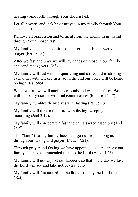healing come forth through Your chosen fast.

Let all poverty and lack be destroyed in my family through Your chosen fast.

Remove all oppression and torment from the enemy in my family through Your chosen fast.

My family fasted and petitioned the Lord, and He answered our prayer (Ezra 8:23).

After we fast and pray, we will lay hands on those in our family and send them (Acts 13:3).

My family will fast without quarreling and strife, and in striking each other with wicked fists, so in the end our voice will be heard on high (Isa. 58:4).

When we fast we will anoint our heads and wash our faces. We will not be hypocrites with sad countenances (Matt. 6:16-17).

My family humbles themselves with fasting (Ps. 35:13).

My family will turn to the Lord with fasting, weeping, and mourning (Joel 2:12).

My family will consecrate a fast and call a sacred assembly (Joel  $2:15$ ).

This "kind" that my family faces will go out from among us through our fasting and prayer (Matt. 17:21).

Through prayer and fasting we have appointed leaders among our family and have commended them to the Lord (Acts 14:23).

My family will not exploit our laborers, so that in the day we fast, the Lord will see and take notice (Isa. 58:3).

My family will fast according the fast chosen by the Lord (Isa. 58:5).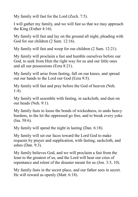My family will fast for the Lord (Zech. 7:5).

I will gather my family, and we will fast so that we may approach the King (Esther 4:16).

My family will fast and lay on the ground all night, pleading with God for our children (2 Sam. 12:16).

My family will fast and weep for our children (2 Sam. 12:21).

My family will proclaim a fast and humble ourselves before our God, to seek from Him the right way for us and our little ones and all our possessions (Ezra 8:21).

My family will arise from fasting, fall on our knees, and spread out our hands to the Lord our God (Ezra 9:5).

My family will fast and pray before the God of heaven (Neh. 1:4).

My family will assemble with fasting, in sackcloth, and dust on our heads (Neh. 9:1).

My family fasts to loose the bonds of wickedness, to undo heavy burdens, to the let the oppressed go free, and to break every yoke (Isa. 58:6).

My family will spend the night in lasting (Dan. 6:18).

My family will set our faces toward the Lord God to make requests by prayer and supplication, with fasting, sackcloth, and ashes (Dan. 9:3).

My family believes God, and we will proclaim a fast from the least to the greatest of us, and the Lord will hear our cries of repentance and relent of the disaster meant for us (Jon. 3:5, 10).

My family fasts in the secret place, and our father sees in secret. He will reward us openly (Matt. 6:18).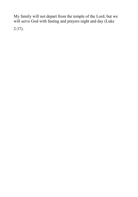My family will not depart from the temple of the Lord, but we will serve God with fasting and prayers night and day (Luke

2:37).